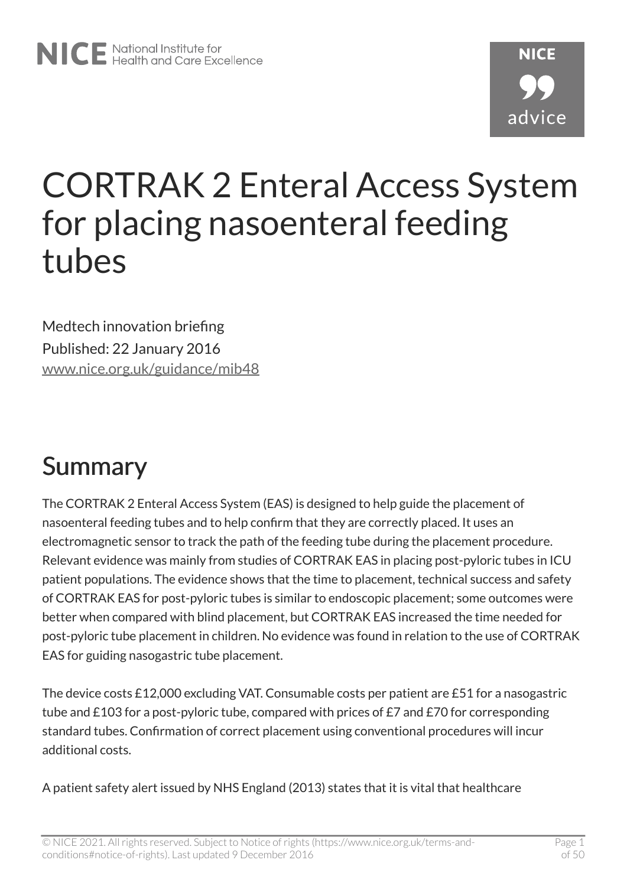# **NICF** advice

# CORTRAK 2 Enteral Access System for placing nasoenteral feeding tubes

Medtech innovation briefing Published: 22 January 2016 [www.nice.org.uk/guidance/mib48](https://www.nice.org.uk/guidance/mib48)

## <span id="page-0-0"></span>Summary

The CORTRAK 2 Enteral Access System (EAS) is designed to help guide the placement of nasoenteral feeding tubes and to help confirm that they are correctly placed. It uses an electromagnetic sensor to track the path of the feeding tube during the placement procedure. Relevant evidence was mainly from studies of CORTRAK EAS in placing post-pyloric tubes in ICU patient populations. The evidence shows that the time to placement, technical success and safety of CORTRAK EAS for post-pyloric tubes is similar to endoscopic placement; some outcomes were better when compared with blind placement, but CORTRAK EAS increased the time needed for post-pyloric tube placement in children. No evidence was found in relation to the use of CORTRAK EAS for guiding nasogastric tube placement.

The device costs £12,000 excluding VAT. Consumable costs per patient are £51 for a nasogastric tube and £103 for a post-pyloric tube, compared with prices of £7 and £70 for corresponding standard tubes. Confirmation of correct placement using conventional procedures will incur additional costs.

A patient safety alert issued by NHS England (2013) states that it is vital that healthcare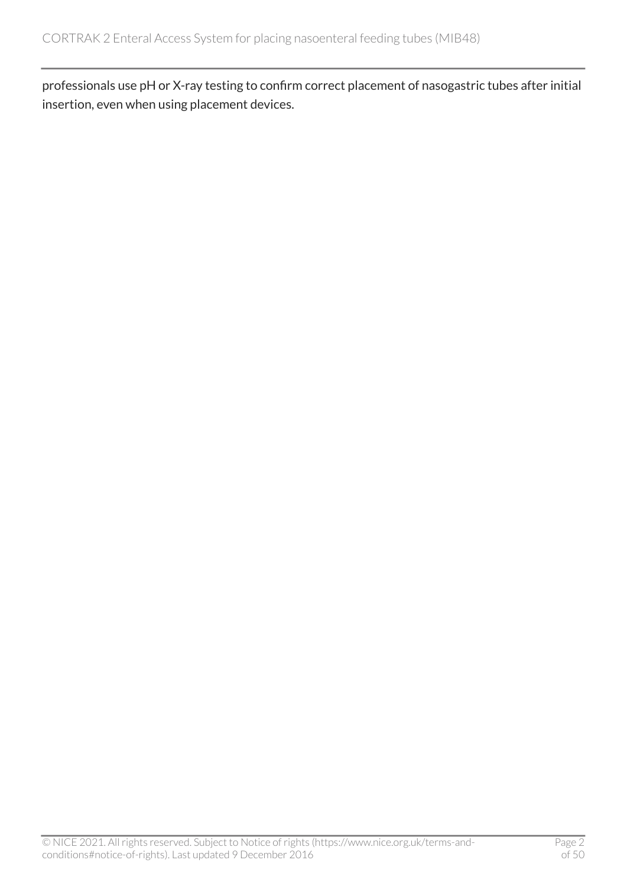professionals use pH or X-ray testing to confirm correct placement of nasogastric tubes after initial insertion, even when using placement devices.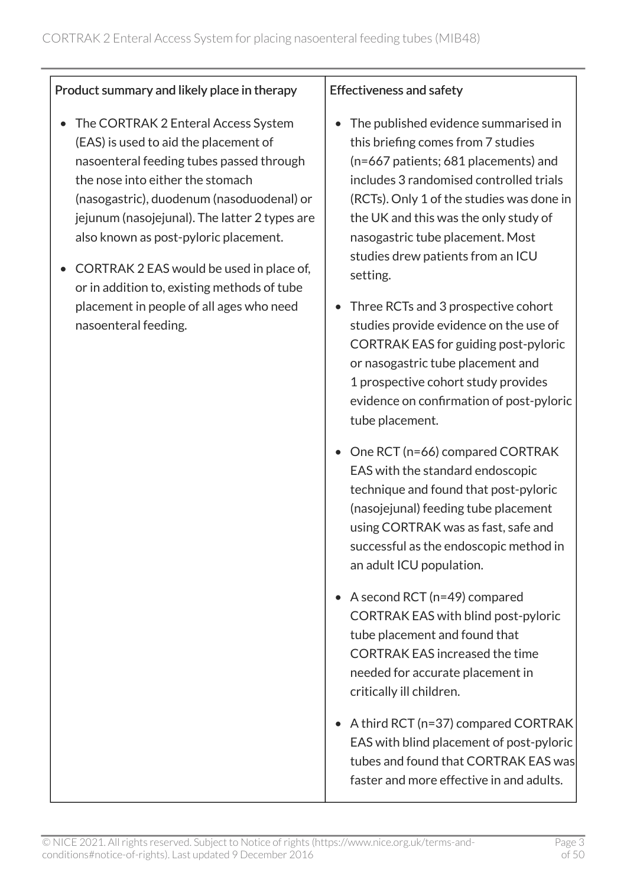#### Product summary and likely place in therapy

- The CORTRAK 2 Enteral Access System (EAS) is used to aid the placement of nasoenteral feeding tubes passed through the nose into either the stomach (nasogastric), duodenum (nasoduodenal) or jejunum (nasojejunal). The latter 2 types are also known as post-pyloric placement.
- CORTRAK 2 EAS would be used in place of, or in addition to, existing methods of tube placement in people of all ages who need nasoenteral feeding.

#### Effectiveness and safety

- The published evidence summarised in this briefing comes from 7 studies (n=667 patients; 681 placements) and includes 3 randomised controlled trials (RCTs). Only 1 of the studies was done in the UK and this was the only study of nasogastric tube placement. Most studies drew patients from an ICU setting.
- Three RCTs and 3 prospective cohort studies provide evidence on the use of CORTRAK EAS for guiding post-pyloric or nasogastric tube placement and 1 prospective cohort study provides evidence on confirmation of post-pyloric tube placement.
- One RCT (n=66) compared CORTRAK EAS with the standard endoscopic technique and found that post-pyloric (nasojejunal) feeding tube placement using CORTRAK was as fast, safe and successful as the endoscopic method in an adult ICU population.
- A second RCT (n=49) compared CORTRAK EAS with blind post-pyloric tube placement and found that CORTRAK EAS increased the time needed for accurate placement in critically ill children.
- A third RCT (n=37) compared CORTRAK EAS with blind placement of post-pyloric tubes and found that CORTRAK EAS was faster and more effective in and adults.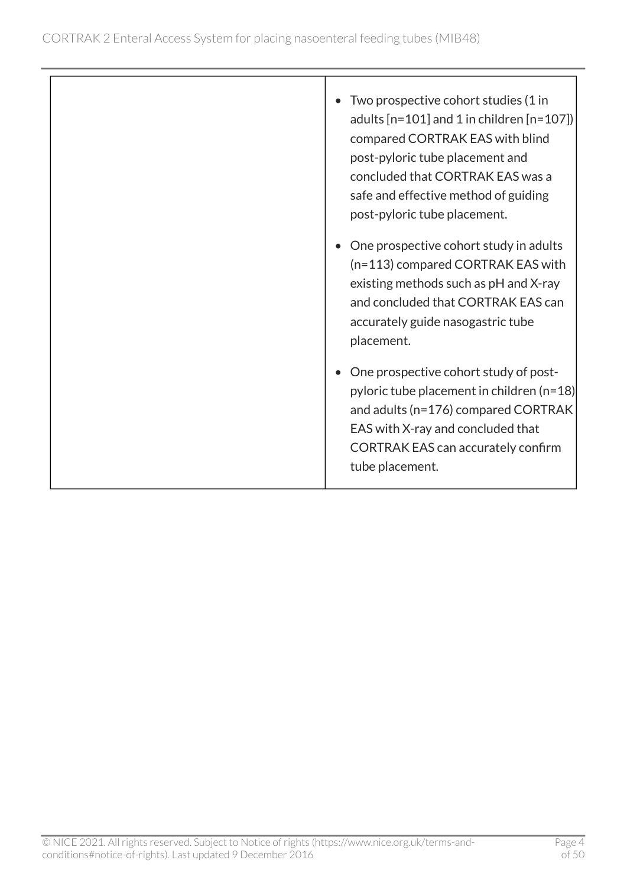| Two prospective cohort studies (1 in<br>adults $[n=101]$ and 1 in children $[n=107]$<br>compared CORTRAK EAS with blind<br>post-pyloric tube placement and<br>concluded that CORTRAK EAS was a<br>safe and effective method of guiding<br>post-pyloric tube placement. |
|------------------------------------------------------------------------------------------------------------------------------------------------------------------------------------------------------------------------------------------------------------------------|
| One prospective cohort study in adults<br>(n=113) compared CORTRAK EAS with<br>existing methods such as pH and X-ray<br>and concluded that CORTRAK EAS can<br>accurately guide nasogastric tube<br>placement.                                                          |
| One prospective cohort study of post-<br>pyloric tube placement in children (n=18)<br>and adults (n=176) compared CORTRAK<br>EAS with X-ray and concluded that<br><b>CORTRAK EAS can accurately confirm</b><br>tube placement.                                         |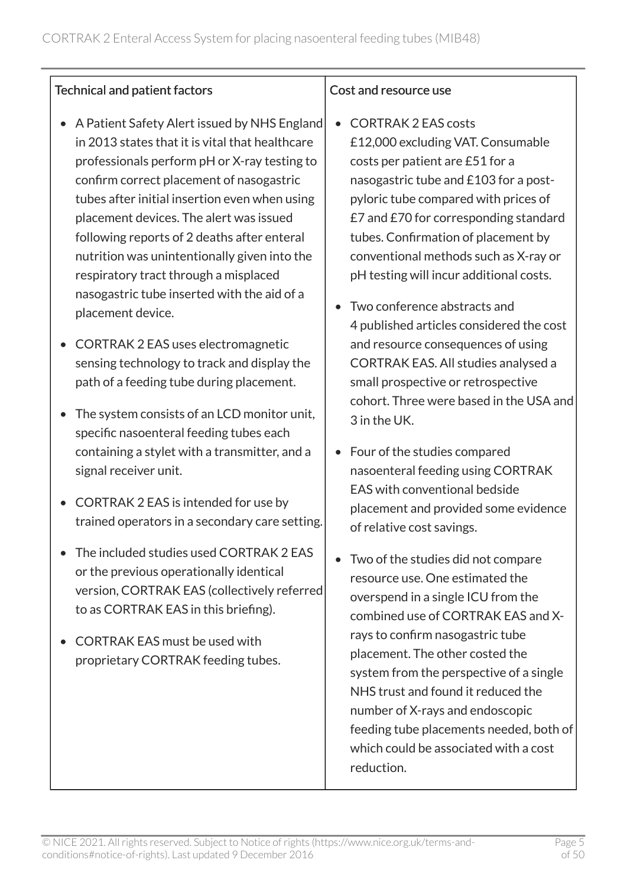#### Technical and patient factors

- A Patient Safety Alert issued by NHS England in 2013 states that it is vital that healthcare professionals perform pH or X-ray testing to confirm correct placement of nasogastric tubes after initial insertion even when using placement devices. The alert was issued following reports of 2 deaths after enteral nutrition was unintentionally given into the respiratory tract through a misplaced nasogastric tube inserted with the aid of a placement device.
- CORTRAK 2 EAS uses electromagnetic sensing technology to track and display the path of a feeding tube during placement.
- The system consists of an LCD monitor unit, specific nasoenteral feeding tubes each containing a stylet with a transmitter, and a signal receiver unit.
- CORTRAK 2 EAS is intended for use by trained operators in a secondary care setting.
- The included studies used CORTRAK 2 EAS or the previous operationally identical version, CORTRAK EAS (collectively referred to as CORTRAK EAS in this briefing).
- CORTRAK EAS must be used with proprietary CORTRAK feeding tubes.

#### Cost and resource use

- CORTRAK 2 EAS costs £12,000 excluding VAT. Consumable costs per patient are £51 for a nasogastric tube and £103 for a postpyloric tube compared with prices of £7 and £70 for corresponding standard tubes. Confirmation of placement by conventional methods such as X-ray or pH testing will incur additional costs.
- Two conference abstracts and 4 published articles considered the cost and resource consequences of using CORTRAK EAS. All studies analysed a small prospective or retrospective cohort. Three were based in the USA and 3 in the UK.
- Four of the studies compared nasoenteral feeding using CORTRAK EAS with conventional bedside placement and provided some evidence of relative cost savings.
- Two of the studies did not compare resource use. One estimated the overspend in a single ICU from the combined use of CORTRAK EAS and Xrays to confirm nasogastric tube placement. The other costed the system from the perspective of a single NHS trust and found it reduced the number of X-rays and endoscopic feeding tube placements needed, both of which could be associated with a cost reduction.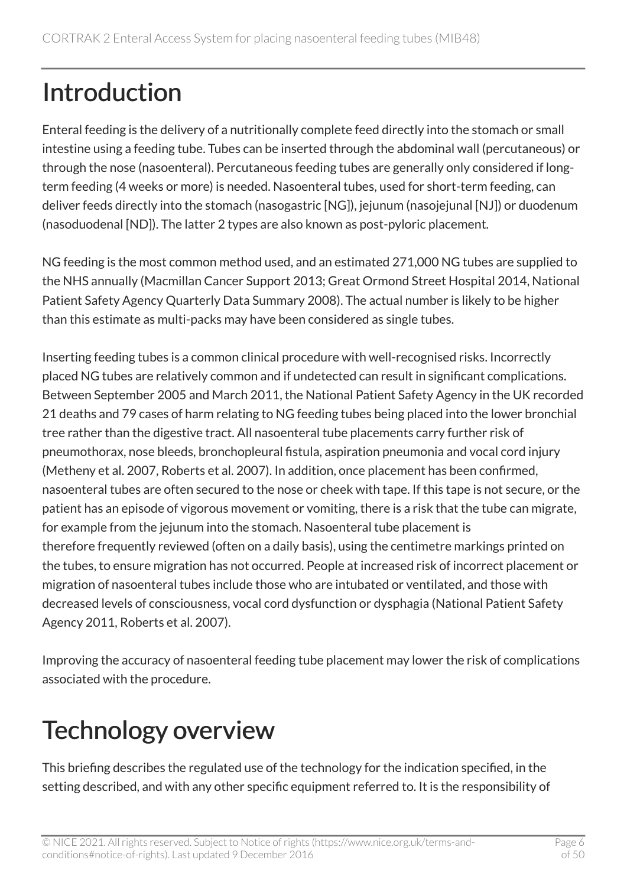# Introduction

Enteral feeding is the delivery of a nutritionally complete feed directly into the stomach or small intestine using a feeding tube. Tubes can be inserted through the abdominal wall (percutaneous) or through the nose (nasoenteral). Percutaneous feeding tubes are generally only considered if longterm feeding (4 weeks or more) is needed. Nasoenteral tubes, used for short-term feeding, can deliver feeds directly into the stomach (nasogastric [NG]), jejunum (nasojejunal [NJ]) or duodenum (nasoduodenal [ND]). The latter 2 types are also known as post-pyloric placement.

NG feeding is the most common method used, and an estimated 271,000 NG tubes are supplied to the NHS annually (Macmillan Cancer Support 2013; Great Ormond Street Hospital 2014, National Patient Safety Agency Quarterly Data Summary 2008). The actual number is likely to be higher than this estimate as multi-packs may have been considered as single tubes.

Inserting feeding tubes is a common clinical procedure with well-recognised risks. Incorrectly placed NG tubes are relatively common and if undetected can result in significant complications. Between September 2005 and March 2011, the National Patient Safety Agency in the UK recorded 21 deaths and 79 cases of harm relating to NG feeding tubes being placed into the lower bronchial tree rather than the digestive tract. All nasoenteral tube placements carry further risk of pneumothorax, nose bleeds, bronchopleural fistula, aspiration pneumonia and vocal cord injury (Metheny et al. 2007, Roberts et al. 2007). In addition, once placement has been confirmed, nasoenteral tubes are often secured to the nose or cheek with tape. If this tape is not secure, or the patient has an episode of vigorous movement or vomiting, there is a risk that the tube can migrate, for example from the jejunum into the stomach. Nasoenteral tube placement is therefore frequently reviewed (often on a daily basis), using the centimetre markings printed on the tubes, to ensure migration has not occurred. People at increased risk of incorrect placement or migration of nasoenteral tubes include those who are intubated or ventilated, and those with decreased levels of consciousness, vocal cord dysfunction or dysphagia (National Patient Safety Agency 2011, Roberts et al. 2007).

Improving the accuracy of nasoenteral feeding tube placement may lower the risk of complications associated with the procedure.

## Technology overview

This briefing describes the regulated use of the technology for the indication specified, in the setting described, and with any other specific equipment referred to. It is the responsibility of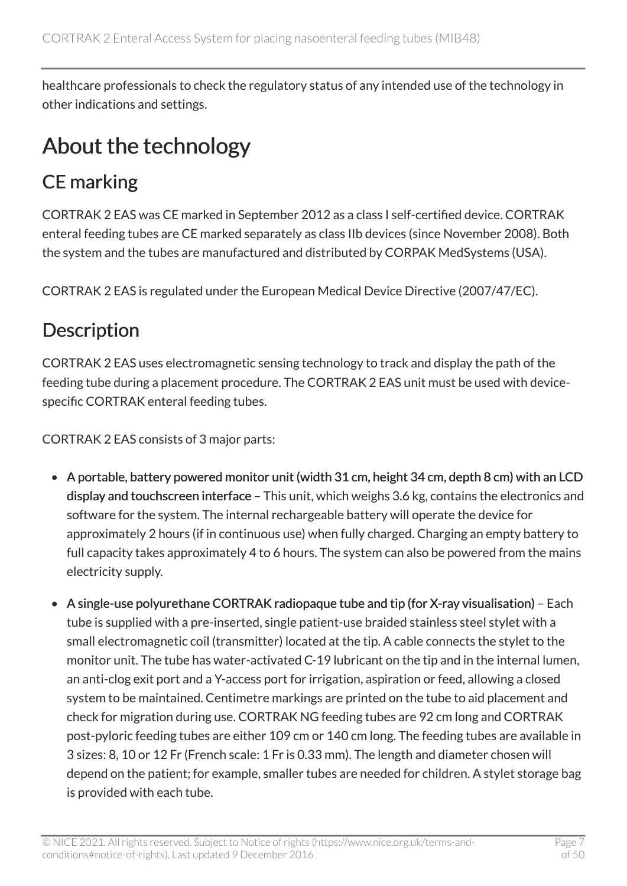healthcare professionals to check the regulatory status of any intended use of the technology in other indications and settings.

### About the technology

### CE marking

CORTRAK 2 EAS was CE marked in September 2012 as a class I self-certified device. CORTRAK enteral feeding tubes are CE marked separately as class IIb devices (since November 2008). Both the system and the tubes are manufactured and distributed by CORPAK MedSystems (USA).

CORTRAK 2 EAS is regulated under the European Medical Device Directive (2007/47/EC).

### **Description**

CORTRAK 2 EAS uses electromagnetic sensing technology to track and display the path of the feeding tube during a placement procedure. The CORTRAK 2 EAS unit must be used with devicespecific CORTRAK enteral feeding tubes.

CORTRAK 2 EAS consists of 3 major parts:

- A portable, battery powered monitor unit (width 31 cm, height 34 cm, depth 8 cm) with an LCD display and touchscreen interface – This unit, which weighs 3.6 kg, contains the electronics and software for the system. The internal rechargeable battery will operate the device for approximately 2 hours (if in continuous use) when fully charged. Charging an empty battery to full capacity takes approximately 4 to 6 hours. The system can also be powered from the mains electricity supply.
- A single-use polyurethane CORTRAK radiopaque tube and tip (for X-ray visualisation) Each tube is supplied with a pre-inserted, single patient-use braided stainless steel stylet with a small electromagnetic coil (transmitter) located at the tip. A cable connects the stylet to the monitor unit. The tube has water-activated C-19 lubricant on the tip and in the internal lumen, an anti-clog exit port and a Y-access port for irrigation, aspiration or feed, allowing a closed system to be maintained. Centimetre markings are printed on the tube to aid placement and check for migration during use. CORTRAK NG feeding tubes are 92 cm long and CORTRAK post-pyloric feeding tubes are either 109 cm or 140 cm long. The feeding tubes are available in 3 sizes: 8, 10 or 12 Fr (French scale: 1 Fr is 0.33 mm). The length and diameter chosen will depend on the patient; for example, smaller tubes are needed for children. A stylet storage bag is provided with each tube.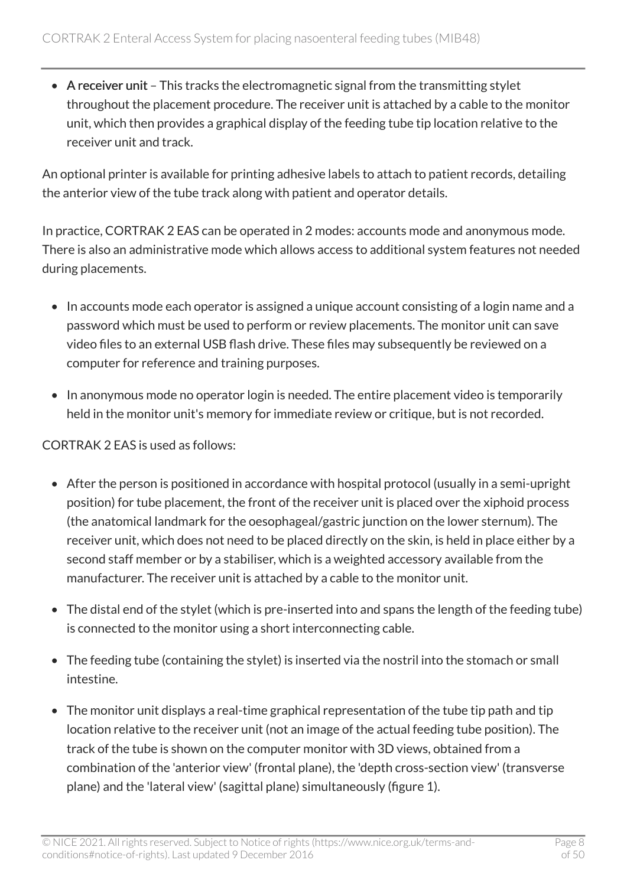• A receiver unit – This tracks the electromagnetic signal from the transmitting stylet throughout the placement procedure. The receiver unit is attached by a cable to the monitor unit, which then provides a graphical display of the feeding tube tip location relative to the receiver unit and track.

An optional printer is available for printing adhesive labels to attach to patient records, detailing the anterior view of the tube track along with patient and operator details.

In practice, CORTRAK 2 EAS can be operated in 2 modes: accounts mode and anonymous mode. There is also an administrative mode which allows access to additional system features not needed during placements.

- In accounts mode each operator is assigned a unique account consisting of a login name and a password which must be used to perform or review placements. The monitor unit can save video files to an external USB flash drive. These files may subsequently be reviewed on a computer for reference and training purposes.
- In anonymous mode no operator login is needed. The entire placement video is temporarily held in the monitor unit's memory for immediate review or critique, but is not recorded.

CORTRAK 2 EAS is used as follows:

- After the person is positioned in accordance with hospital protocol (usually in a semi-upright position) for tube placement, the front of the receiver unit is placed over the xiphoid process (the anatomical landmark for the oesophageal/gastric junction on the lower sternum). The receiver unit, which does not need to be placed directly on the skin, is held in place either by a second staff member or by a stabiliser, which is a weighted accessory available from the manufacturer. The receiver unit is attached by a cable to the monitor unit.
- The distal end of the stylet (which is pre-inserted into and spans the length of the feeding tube) is connected to the monitor using a short interconnecting cable.
- The feeding tube (containing the stylet) is inserted via the nostril into the stomach or small intestine.
- The monitor unit displays a real-time graphical representation of the tube tip path and tip location relative to the receiver unit (not an image of the actual feeding tube position). The track of the tube is shown on the computer monitor with 3D views, obtained from a combination of the 'anterior view' (frontal plane), the 'depth cross-section view' (transverse plane) and the 'lateral view' (sagittal plane) simultaneously (figure 1).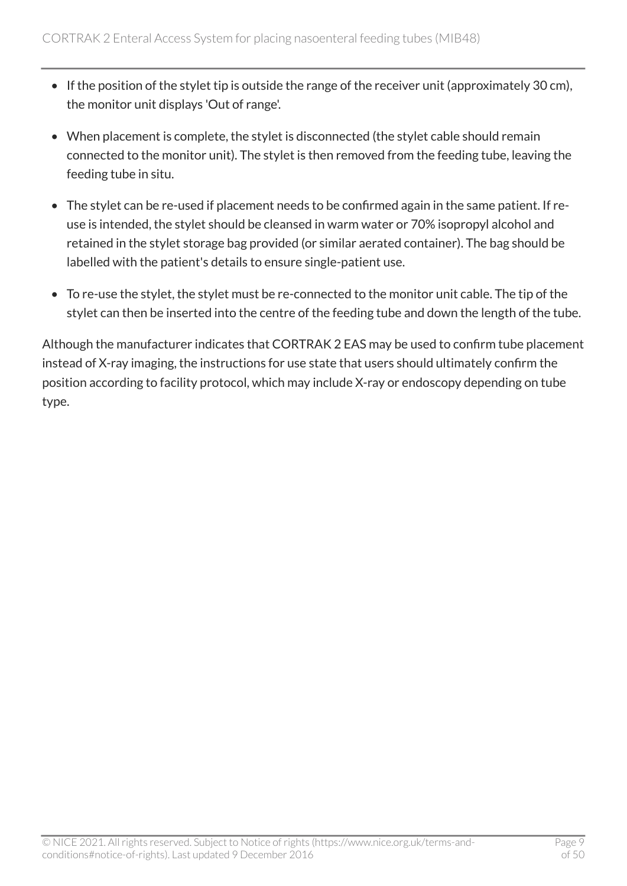- If the position of the stylet tip is outside the range of the receiver unit (approximately 30 cm), the monitor unit displays 'Out of range'.
- When placement is complete, the stylet is disconnected (the stylet cable should remain connected to the monitor unit). The stylet is then removed from the feeding tube, leaving the feeding tube in situ.
- The stylet can be re-used if placement needs to be confirmed again in the same patient. If reuse is intended, the stylet should be cleansed in warm water or 70% isopropyl alcohol and retained in the stylet storage bag provided (or similar aerated container). The bag should be labelled with the patient's details to ensure single-patient use.
- To re-use the stylet, the stylet must be re-connected to the monitor unit cable. The tip of the stylet can then be inserted into the centre of the feeding tube and down the length of the tube.

Although the manufacturer indicates that CORTRAK 2 EAS may be used to confirm tube placement instead of X-ray imaging, the instructions for use state that users should ultimately confirm the position according to facility protocol, which may include X-ray or endoscopy depending on tube type.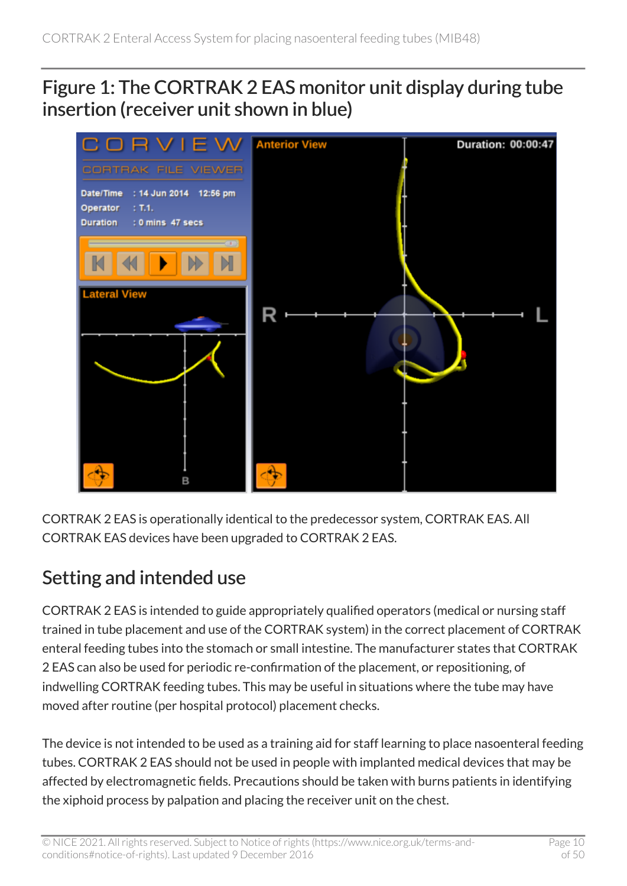#### Figure 1: The CORTRAK 2 EAS monitor unit display during tube insertion (receiver unit shown in blue)



CORTRAK 2 EAS is operationally identical to the predecessor system, CORTRAK EAS. All CORTRAK EAS devices have been upgraded to CORTRAK 2 EAS.

#### Setting and intended use

CORTRAK 2 EAS is intended to guide appropriately qualified operators (medical or nursing staff trained in tube placement and use of the CORTRAK system) in the correct placement of CORTRAK enteral feeding tubes into the stomach or small intestine. The manufacturer states that CORTRAK 2 EAS can also be used for periodic re-confirmation of the placement, or repositioning, of indwelling CORTRAK feeding tubes. This may be useful in situations where the tube may have moved after routine (per hospital protocol) placement checks.

The device is not intended to be used as a training aid for staff learning to place nasoenteral feeding tubes. CORTRAK 2 EAS should not be used in people with implanted medical devices that may be affected by electromagnetic fields. Precautions should be taken with burns patients in identifying the xiphoid process by palpation and placing the receiver unit on the chest.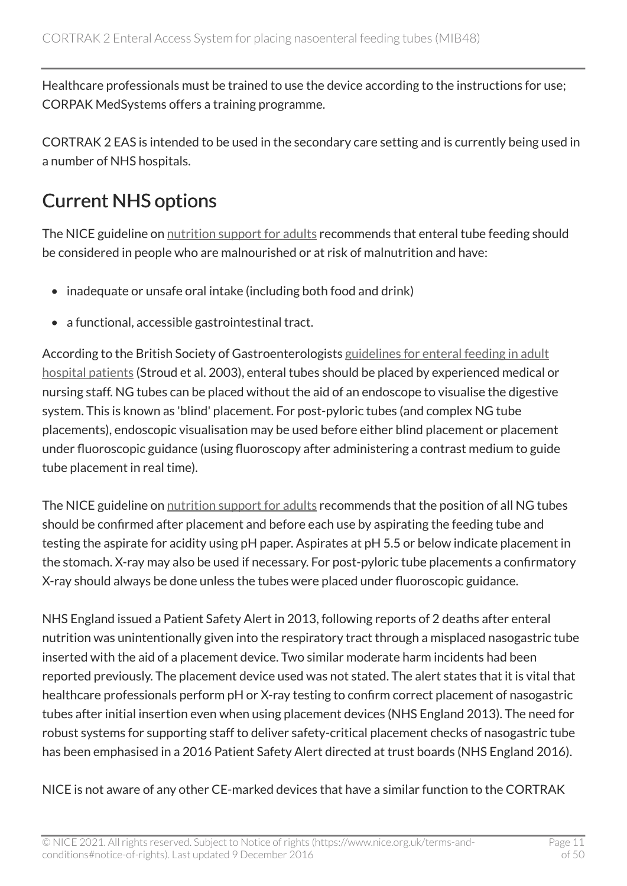Healthcare professionals must be trained to use the device according to the instructions for use; CORPAK MedSystems offers a training programme.

CORTRAK 2 EAS is intended to be used in the secondary care setting and is currently being used in a number of NHS hospitals.

### Current NHS options

The NICE guideline on [nutrition support for adults](http://www.nice.org.uk/guidance/cg32) recommends that enteral tube feeding should be considered in people who are malnourished or at risk of malnutrition and have:

- inadequate or unsafe oral intake (including both food and drink)
- a functional, accessible gastrointestinal tract.

According to the British Society of Gastroenterologists [guidelines for enteral feeding in adult](http://www.bsg.org.uk/clinical-guidelines/small-bowel-nutrition/guidelines-for-enteral-feeding-in-adult-hospital-patients.html)  [hospital patients](http://www.bsg.org.uk/clinical-guidelines/small-bowel-nutrition/guidelines-for-enteral-feeding-in-adult-hospital-patients.html) (Stroud et al. 2003), enteral tubes should be placed by experienced medical or nursing staff. NG tubes can be placed without the aid of an endoscope to visualise the digestive system. This is known as 'blind' placement. For post-pyloric tubes (and complex NG tube placements), endoscopic visualisation may be used before either blind placement or placement under fluoroscopic guidance (using fluoroscopy after administering a contrast medium to guide tube placement in real time).

The NICE guideline on [nutrition support for adults](http://www.nice.org.uk/guidance/cg32) recommends that the position of all NG tubes should be confirmed after placement and before each use by aspirating the feeding tube and testing the aspirate for acidity using pH paper. Aspirates at pH 5.5 or below indicate placement in the stomach. X-ray may also be used if necessary. For post-pyloric tube placements a confirmatory X-ray should always be done unless the tubes were placed under fluoroscopic guidance.

NHS England issued a Patient Safety Alert in 2013, following reports of 2 deaths after enteral nutrition was unintentionally given into the respiratory tract through a misplaced nasogastric tube inserted with the aid of a placement device. Two similar moderate harm incidents had been reported previously. The placement device used was not stated. The alert states that it is vital that healthcare professionals perform pH or X-ray testing to confirm correct placement of nasogastric tubes after initial insertion even when using placement devices (NHS England 2013). The need for robust systems for supporting staff to deliver safety-critical placement checks of nasogastric tube has been emphasised in a 2016 Patient Safety Alert directed at trust boards (NHS England 2016).

NICE is not aware of any other CE-marked devices that have a similar function to the CORTRAK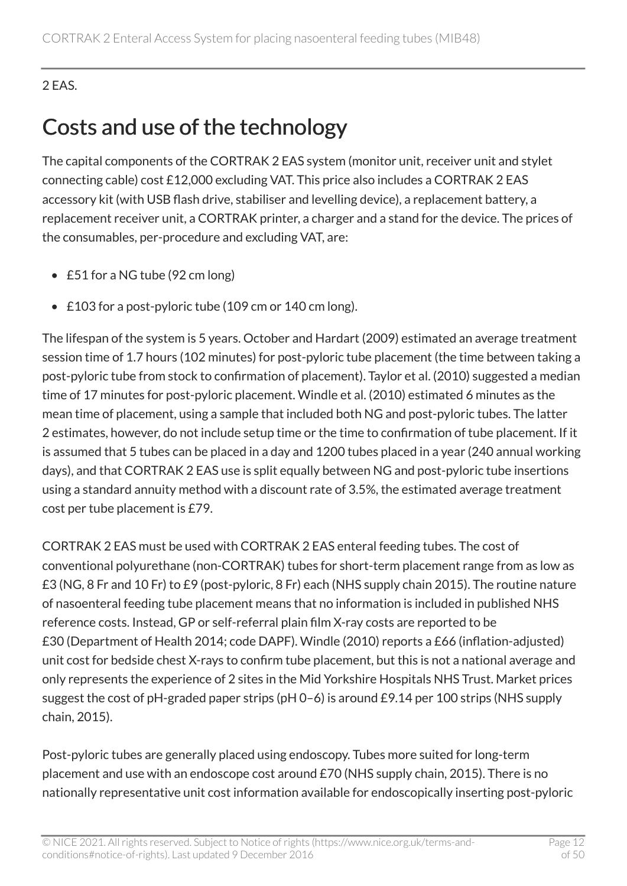#### 2 EAS.

### Costs and use of the technology

The capital components of the CORTRAK 2 EAS system (monitor unit, receiver unit and stylet connecting cable) cost £12,000 excluding VAT. This price also includes a CORTRAK 2 EAS accessory kit (with USB flash drive, stabiliser and levelling device), a replacement battery, a replacement receiver unit, a CORTRAK printer, a charger and a stand for the device. The prices of the consumables, per-procedure and excluding VAT, are:

- £51 for a NG tube (92 cm long)
- £103 for a post-pyloric tube (109 cm or 140 cm long).

The lifespan of the system is 5 years. October and Hardart (2009) estimated an average treatment session time of 1.7 hours (102 minutes) for post-pyloric tube placement (the time between taking a post-pyloric tube from stock to confirmation of placement). Taylor et al. (2010) suggested a median time of 17 minutes for post-pyloric placement. Windle et al. (2010) estimated 6 minutes as the mean time of placement, using a sample that included both NG and post-pyloric tubes. The latter 2 estimates, however, do not include setup time or the time to confirmation of tube placement. If it is assumed that 5 tubes can be placed in a day and 1200 tubes placed in a year (240 annual working days), and that CORTRAK 2 EAS use is split equally between NG and post-pyloric tube insertions using a standard annuity method with a discount rate of 3.5%, the estimated average treatment cost per tube placement is £79.

CORTRAK 2 EAS must be used with CORTRAK 2 EAS enteral feeding tubes. The cost of conventional polyurethane (non-CORTRAK) tubes for short-term placement range from as low as £3 (NG, 8 Fr and 10 Fr) to £9 (post-pyloric, 8 Fr) each (NHS supply chain 2015). The routine nature of nasoenteral feeding tube placement means that no information is included in published NHS reference costs. Instead, GP or self-referral plain film X-ray costs are reported to be £30 (Department of Health 2014; code DAPF). Windle (2010) reports a £66 (inflation-adjusted) unit cost for bedside chest X-rays to confirm tube placement, but this is not a national average and only represents the experience of 2 sites in the Mid Yorkshire Hospitals NHS Trust. Market prices suggest the cost of pH-graded paper strips (pH 0–6) is around £9.14 per 100 strips (NHS supply chain, 2015).

Post-pyloric tubes are generally placed using endoscopy. Tubes more suited for long-term placement and use with an endoscope cost around £70 (NHS supply chain, 2015). There is no nationally representative unit cost information available for endoscopically inserting post-pyloric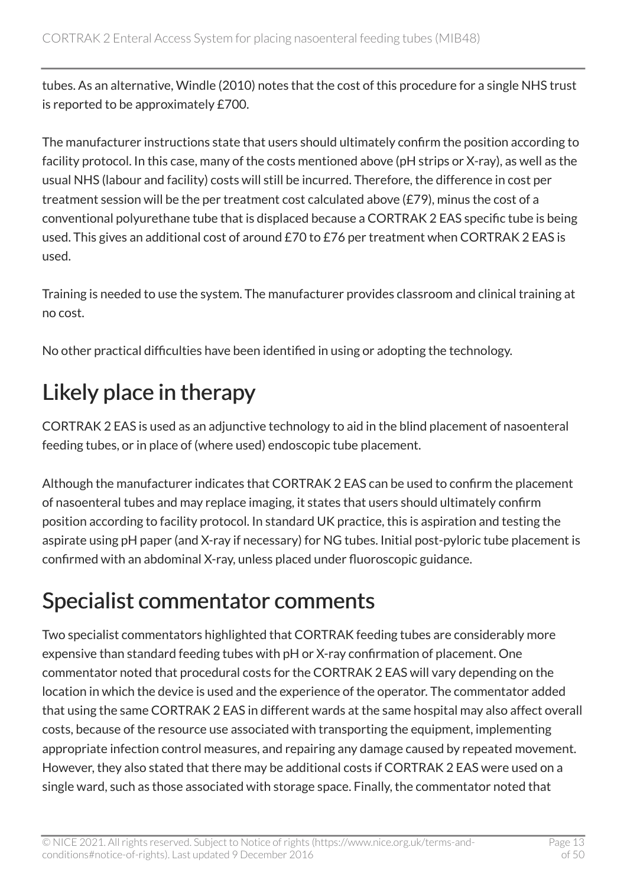tubes. As an alternative, Windle (2010) notes that the cost of this procedure for a single NHS trust is reported to be approximately £700.

The manufacturer instructions state that users should ultimately confirm the position according to facility protocol. In this case, many of the costs mentioned above (pH strips or X-ray), as well as the usual NHS (labour and facility) costs will still be incurred. Therefore, the difference in cost per treatment session will be the per treatment cost calculated above (£79), minus the cost of a conventional polyurethane tube that is displaced because a CORTRAK 2 EAS specific tube is being used. This gives an additional cost of around £70 to £76 per treatment when CORTRAK 2 EAS is used.

Training is needed to use the system. The manufacturer provides classroom and clinical training at no cost.

No other practical difficulties have been identified in using or adopting the technology.

### Likely place in therapy

CORTRAK 2 EAS is used as an adjunctive technology to aid in the blind placement of nasoenteral feeding tubes, or in place of (where used) endoscopic tube placement.

Although the manufacturer indicates that CORTRAK 2 EAS can be used to confirm the placement of nasoenteral tubes and may replace imaging, it states that users should ultimately confirm position according to facility protocol. In standard UK practice, this is aspiration and testing the aspirate using pH paper (and X-ray if necessary) for NG tubes. Initial post-pyloric tube placement is confirmed with an abdominal X-ray, unless placed under fluoroscopic guidance.

### Specialist commentator comments

Two specialist commentators highlighted that CORTRAK feeding tubes are considerably more expensive than standard feeding tubes with pH or X-ray confirmation of placement. One commentator noted that procedural costs for the CORTRAK 2 EAS will vary depending on the location in which the device is used and the experience of the operator. The commentator added that using the same CORTRAK 2 EAS in different wards at the same hospital may also affect overall costs, because of the resource use associated with transporting the equipment, implementing appropriate infection control measures, and repairing any damage caused by repeated movement. However, they also stated that there may be additional costs if CORTRAK 2 EAS were used on a single ward, such as those associated with storage space. Finally, the commentator noted that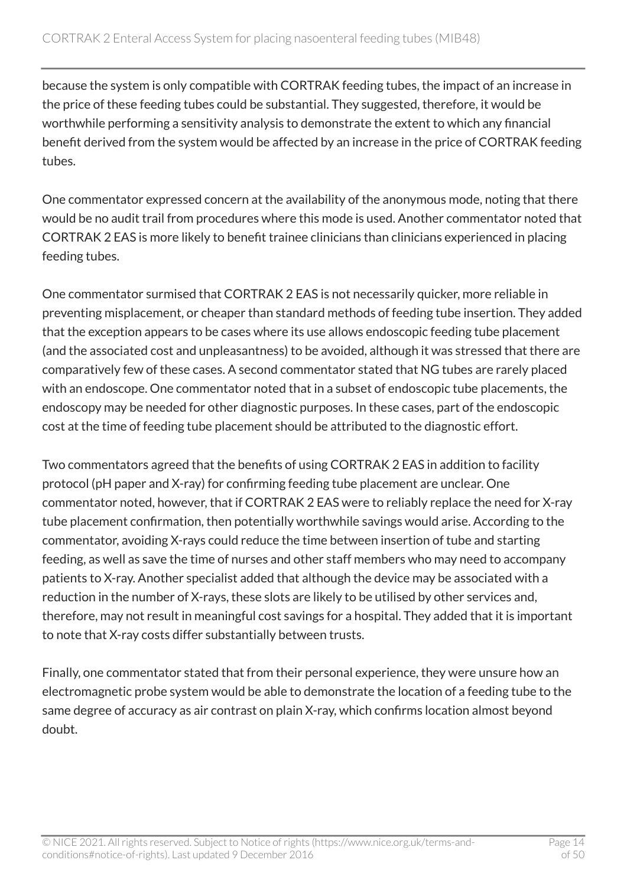because the system is only compatible with CORTRAK feeding tubes, the impact of an increase in the price of these feeding tubes could be substantial. They suggested, therefore, it would be worthwhile performing a sensitivity analysis to demonstrate the extent to which any financial benefit derived from the system would be affected by an increase in the price of CORTRAK feeding tubes.

One commentator expressed concern at the availability of the anonymous mode, noting that there would be no audit trail from procedures where this mode is used. Another commentator noted that CORTRAK 2 EAS is more likely to benefit trainee clinicians than clinicians experienced in placing feeding tubes.

One commentator surmised that CORTRAK 2 EAS is not necessarily quicker, more reliable in preventing misplacement, or cheaper than standard methods of feeding tube insertion. They added that the exception appears to be cases where its use allows endoscopic feeding tube placement (and the associated cost and unpleasantness) to be avoided, although it was stressed that there are comparatively few of these cases. A second commentator stated that NG tubes are rarely placed with an endoscope. One commentator noted that in a subset of endoscopic tube placements, the endoscopy may be needed for other diagnostic purposes. In these cases, part of the endoscopic cost at the time of feeding tube placement should be attributed to the diagnostic effort.

Two commentators agreed that the benefits of using CORTRAK 2 EAS in addition to facility protocol (pH paper and X-ray) for confirming feeding tube placement are unclear. One commentator noted, however, that if CORTRAK 2 EAS were to reliably replace the need for X-ray tube placement confirmation, then potentially worthwhile savings would arise. According to the commentator, avoiding X-rays could reduce the time between insertion of tube and starting feeding, as well as save the time of nurses and other staff members who may need to accompany patients to X-ray. Another specialist added that although the device may be associated with a reduction in the number of X-rays, these slots are likely to be utilised by other services and, therefore, may not result in meaningful cost savings for a hospital. They added that it is important to note that X-ray costs differ substantially between trusts.

Finally, one commentator stated that from their personal experience, they were unsure how an electromagnetic probe system would be able to demonstrate the location of a feeding tube to the same degree of accuracy as air contrast on plain X-ray, which confirms location almost beyond doubt.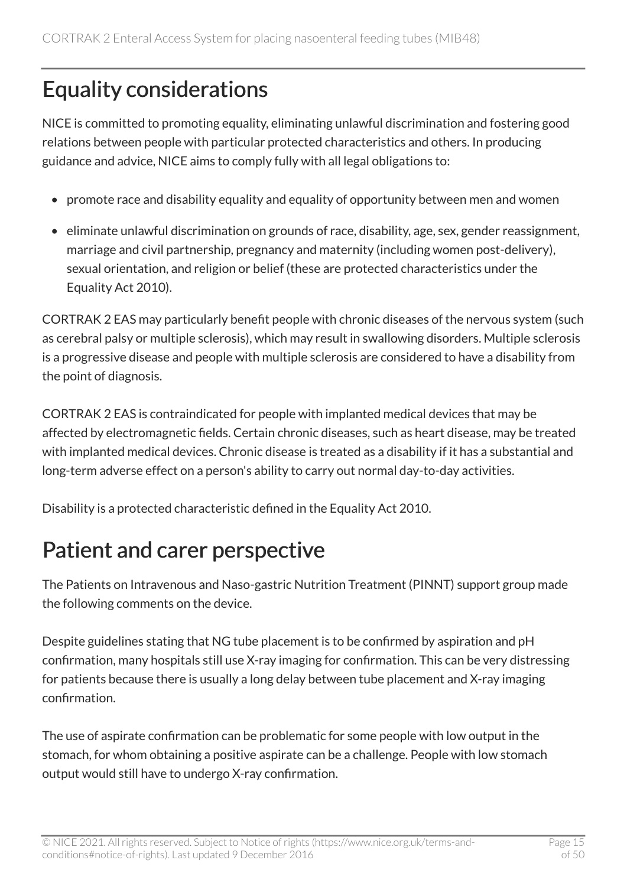### Equality considerations

NICE is committed to promoting equality, eliminating unlawful discrimination and fostering good relations between people with particular protected characteristics and others. In producing guidance and advice, NICE aims to comply fully with all legal obligations to:

- promote race and disability equality and equality of opportunity between men and women
- eliminate unlawful discrimination on grounds of race, disability, age, sex, gender reassignment, marriage and civil partnership, pregnancy and maternity (including women post-delivery), sexual orientation, and religion or belief (these are protected characteristics under the Equality Act 2010).

CORTRAK 2 EAS may particularly benefit people with chronic diseases of the nervous system (such as cerebral palsy or multiple sclerosis), which may result in swallowing disorders. Multiple sclerosis is a progressive disease and people with multiple sclerosis are considered to have a disability from the point of diagnosis.

CORTRAK 2 EAS is contraindicated for people with implanted medical devices that may be affected by electromagnetic fields. Certain chronic diseases, such as heart disease, may be treated with implanted medical devices. Chronic disease is treated as a disability if it has a substantial and long-term adverse effect on a person's ability to carry out normal day-to-day activities.

Disability is a protected characteristic defined in the Equality Act 2010.

### Patient and carer perspective

The Patients on Intravenous and Naso-gastric Nutrition Treatment (PINNT) support group made the following comments on the device.

Despite guidelines stating that NG tube placement is to be confirmed by aspiration and pH confirmation, many hospitals still use X-ray imaging for confirmation. This can be very distressing for patients because there is usually a long delay between tube placement and X-ray imaging confirmation.

The use of aspirate confirmation can be problematic for some people with low output in the stomach, for whom obtaining a positive aspirate can be a challenge. People with low stomach output would still have to undergo X-ray confirmation.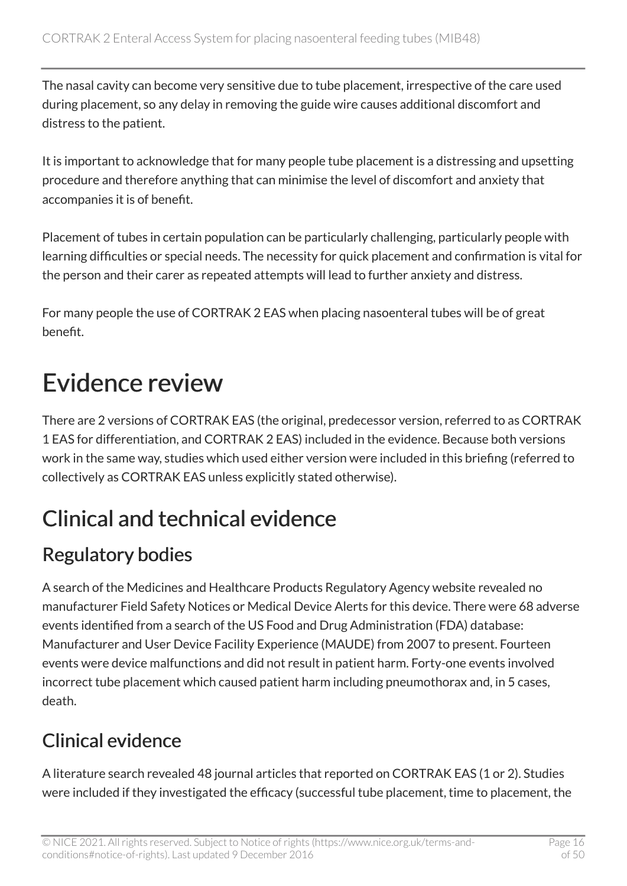The nasal cavity can become very sensitive due to tube placement, irrespective of the care used during placement, so any delay in removing the guide wire causes additional discomfort and distress to the patient.

It is important to acknowledge that for many people tube placement is a distressing and upsetting procedure and therefore anything that can minimise the level of discomfort and anxiety that accompanies it is of benefit.

Placement of tubes in certain population can be particularly challenging, particularly people with learning difficulties or special needs. The necessity for quick placement and confirmation is vital for the person and their carer as repeated attempts will lead to further anxiety and distress.

For many people the use of CORTRAK 2 EAS when placing nasoenteral tubes will be of great benefit.

# <span id="page-15-0"></span>Evidence review

There are 2 versions of CORTRAK EAS (the original, predecessor version, referred to as CORTRAK 1 EAS for differentiation, and CORTRAK 2 EAS) included in the evidence. Because both versions work in the same way, studies which used either version were included in this briefing (referred to collectively as CORTRAK EAS unless explicitly stated otherwise).

### Clinical and technical evidence

### Regulatory bodies

A search of the Medicines and Healthcare Products Regulatory Agency website revealed no manufacturer Field Safety Notices or Medical Device Alerts for this device. There were 68 adverse events identified from a search of the US Food and Drug Administration (FDA) database: Manufacturer and User Device Facility Experience (MAUDE) from 2007 to present. Fourteen events were device malfunctions and did not result in patient harm. Forty-one events involved incorrect tube placement which caused patient harm including pneumothorax and, in 5 cases, death.

### Clinical evidence

A literature search revealed 48 journal articles that reported on CORTRAK EAS (1 or 2). Studies were included if they investigated the efficacy (successful tube placement, time to placement, the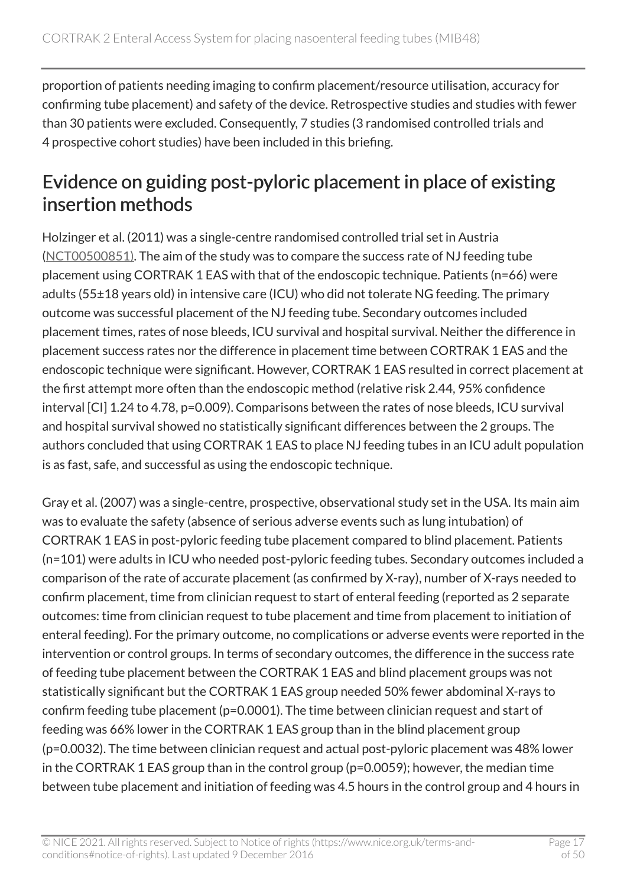proportion of patients needing imaging to confirm placement/resource utilisation, accuracy for confirming tube placement) and safety of the device. Retrospective studies and studies with fewer than 30 patients were excluded. Consequently, 7 studies (3 randomised controlled trials and 4 prospective cohort studies) have been included in this briefing.

#### Evidence on guiding post-pyloric placement in place of existing insertion methods

Holzinger et al. (2011) was a single-centre randomised controlled trial set in Austria ([NCT00500851\)](https://clinicaltrials.gov/ct2/show/NCT00500851). The aim of the study was to compare the success rate of NJ feeding tube placement using CORTRAK 1 EAS with that of the endoscopic technique. Patients (n=66) were adults (55±18 years old) in intensive care (ICU) who did not tolerate NG feeding. The primary outcome was successful placement of the NJ feeding tube. Secondary outcomes included placement times, rates of nose bleeds, ICU survival and hospital survival. Neither the difference in placement success rates nor the difference in placement time between CORTRAK 1 EAS and the endoscopic technique were significant. However, CORTRAK 1 EAS resulted in correct placement at the first attempt more often than the endoscopic method (relative risk 2.44, 95% confidence interval [CI] 1.24 to 4.78, p=0.009). Comparisons between the rates of nose bleeds, ICU survival and hospital survival showed no statistically significant differences between the 2 groups. The authors concluded that using CORTRAK 1 EAS to place NJ feeding tubes in an ICU adult population is as fast, safe, and successful as using the endoscopic technique.

Gray et al. (2007) was a single-centre, prospective, observational study set in the USA. Its main aim was to evaluate the safety (absence of serious adverse events such as lung intubation) of CORTRAK 1 EAS in post-pyloric feeding tube placement compared to blind placement. Patients (n=101) were adults in ICU who needed post-pyloric feeding tubes. Secondary outcomes included a comparison of the rate of accurate placement (as confirmed by X-ray), number of X-rays needed to confirm placement, time from clinician request to start of enteral feeding (reported as 2 separate outcomes: time from clinician request to tube placement and time from placement to initiation of enteral feeding). For the primary outcome, no complications or adverse events were reported in the intervention or control groups. In terms of secondary outcomes, the difference in the success rate of feeding tube placement between the CORTRAK 1 EAS and blind placement groups was not statistically significant but the CORTRAK 1 EAS group needed 50% fewer abdominal X-rays to confirm feeding tube placement (p=0.0001). The time between clinician request and start of feeding was 66% lower in the CORTRAK 1 EAS group than in the blind placement group (p=0.0032). The time between clinician request and actual post-pyloric placement was 48% lower in the CORTRAK 1 EAS group than in the control group (p=0.0059); however, the median time between tube placement and initiation of feeding was 4.5 hours in the control group and 4 hours in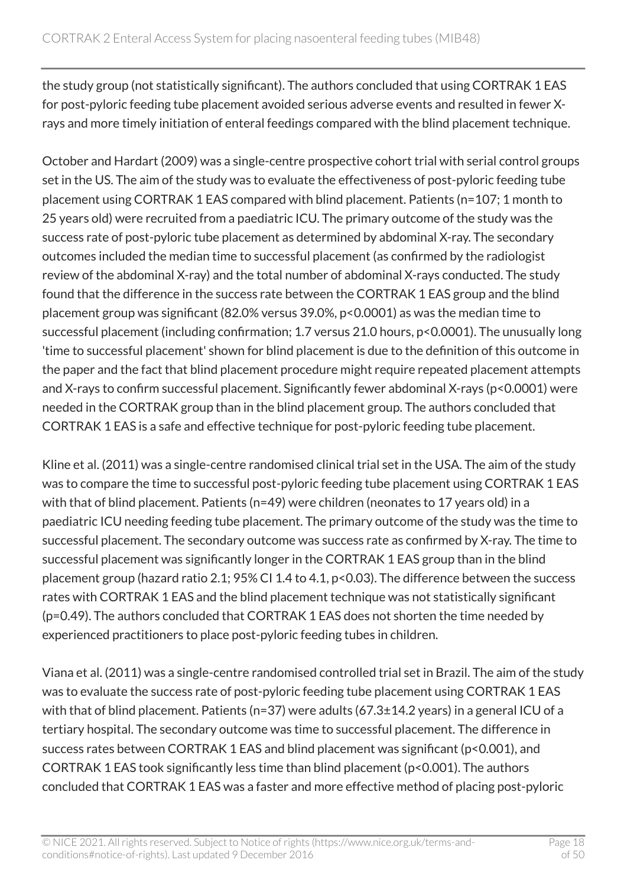the study group (not statistically significant). The authors concluded that using CORTRAK 1 EAS for post-pyloric feeding tube placement avoided serious adverse events and resulted in fewer Xrays and more timely initiation of enteral feedings compared with the blind placement technique.

October and Hardart (2009) was a single-centre prospective cohort trial with serial control groups set in the US. The aim of the study was to evaluate the effectiveness of post-pyloric feeding tube placement using CORTRAK 1 EAS compared with blind placement. Patients (n=107; 1 month to 25 years old) were recruited from a paediatric ICU. The primary outcome of the study was the success rate of post-pyloric tube placement as determined by abdominal X-ray. The secondary outcomes included the median time to successful placement (as confirmed by the radiologist review of the abdominal X-ray) and the total number of abdominal X-rays conducted. The study found that the difference in the success rate between the CORTRAK 1 EAS group and the blind placement group was significant (82.0% versus 39.0%, p<0.0001) as was the median time to successful placement (including confirmation; 1.7 versus 21.0 hours, p<0.0001). The unusually long 'time to successful placement' shown for blind placement is due to the definition of this outcome in the paper and the fact that blind placement procedure might require repeated placement attempts and X-rays to confirm successful placement. Significantly fewer abdominal X-rays (p<0.0001) were needed in the CORTRAK group than in the blind placement group. The authors concluded that CORTRAK 1 EAS is a safe and effective technique for post-pyloric feeding tube placement.

Kline et al. (2011) was a single-centre randomised clinical trial set in the USA. The aim of the study was to compare the time to successful post-pyloric feeding tube placement using CORTRAK 1 EAS with that of blind placement. Patients (n=49) were children (neonates to 17 years old) in a paediatric ICU needing feeding tube placement. The primary outcome of the study was the time to successful placement. The secondary outcome was success rate as confirmed by X-ray. The time to successful placement was significantly longer in the CORTRAK 1 EAS group than in the blind placement group (hazard ratio 2.1; 95% CI 1.4 to 4.1, p<0.03). The difference between the success rates with CORTRAK 1 EAS and the blind placement technique was not statistically significant (p=0.49). The authors concluded that CORTRAK 1 EAS does not shorten the time needed by experienced practitioners to place post-pyloric feeding tubes in children.

Viana et al. (2011) was a single-centre randomised controlled trial set in Brazil. The aim of the study was to evaluate the success rate of post-pyloric feeding tube placement using CORTRAK 1 EAS with that of blind placement. Patients (n=37) were adults (67.3±14.2 years) in a general ICU of a tertiary hospital. The secondary outcome was time to successful placement. The difference in success rates between CORTRAK 1 EAS and blind placement was significant (p<0.001), and CORTRAK 1 EAS took significantly less time than blind placement (p<0.001). The authors concluded that CORTRAK 1 EAS was a faster and more effective method of placing post-pyloric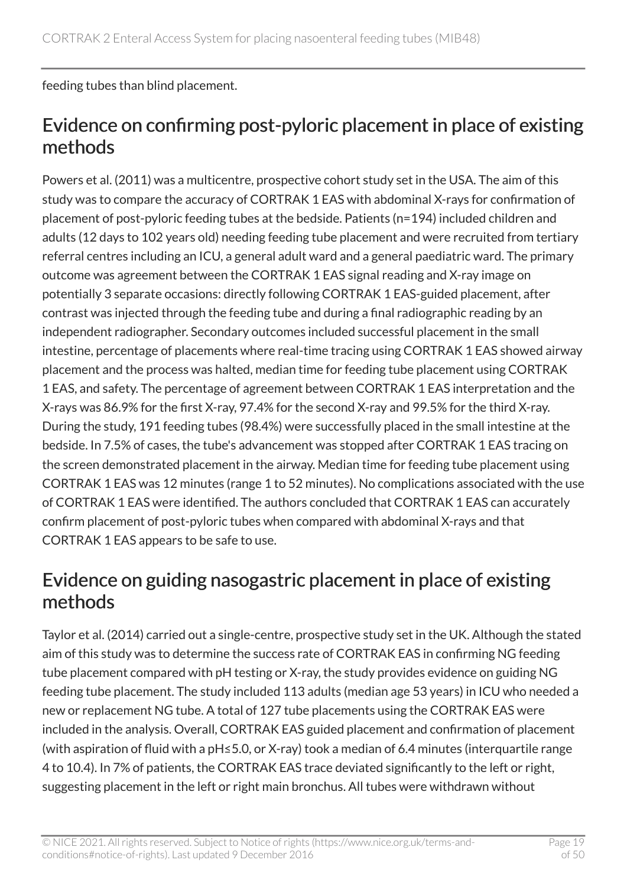feeding tubes than blind placement.

#### Evidence on confirming post-pyloric placement in place of existing methods

Powers et al. (2011) was a multicentre, prospective cohort study set in the USA. The aim of this study was to compare the accuracy of CORTRAK 1 EAS with abdominal X-rays for confirmation of placement of post-pyloric feeding tubes at the bedside. Patients (n=194) included children and adults (12 days to 102 years old) needing feeding tube placement and were recruited from tertiary referral centres including an ICU, a general adult ward and a general paediatric ward. The primary outcome was agreement between the CORTRAK 1 EAS signal reading and X-ray image on potentially 3 separate occasions: directly following CORTRAK 1 EAS-guided placement, after contrast was injected through the feeding tube and during a final radiographic reading by an independent radiographer. Secondary outcomes included successful placement in the small intestine, percentage of placements where real-time tracing using CORTRAK 1 EAS showed airway placement and the process was halted, median time for feeding tube placement using CORTRAK 1 EAS, and safety. The percentage of agreement between CORTRAK 1 EAS interpretation and the X-rays was 86.9% for the first X-ray, 97.4% for the second X-ray and 99.5% for the third X-ray. During the study, 191 feeding tubes (98.4%) were successfully placed in the small intestine at the bedside. In 7.5% of cases, the tube's advancement was stopped after CORTRAK 1 EAS tracing on the screen demonstrated placement in the airway. Median time for feeding tube placement using CORTRAK 1 EAS was 12 minutes (range 1 to 52 minutes). No complications associated with the use of CORTRAK 1 EAS were identified. The authors concluded that CORTRAK 1 EAS can accurately confirm placement of post-pyloric tubes when compared with abdominal X-rays and that CORTRAK 1 EAS appears to be safe to use.

#### Evidence on guiding nasogastric placement in place of existing methods

Taylor et al. (2014) carried out a single-centre, prospective study set in the UK. Although the stated aim of this study was to determine the success rate of CORTRAK EAS in confirming NG feeding tube placement compared with pH testing or X-ray, the study provides evidence on guiding NG feeding tube placement. The study included 113 adults (median age 53 years) in ICU who needed a new or replacement NG tube. A total of 127 tube placements using the CORTRAK EAS were included in the analysis. Overall, CORTRAK EAS guided placement and confirmation of placement (with aspiration of fluid with a pH≤5.0, or X-ray) took a median of 6.4 minutes (interquartile range 4 to 10.4). In 7% of patients, the CORTRAK EAS trace deviated significantly to the left or right, suggesting placement in the left or right main bronchus. All tubes were withdrawn without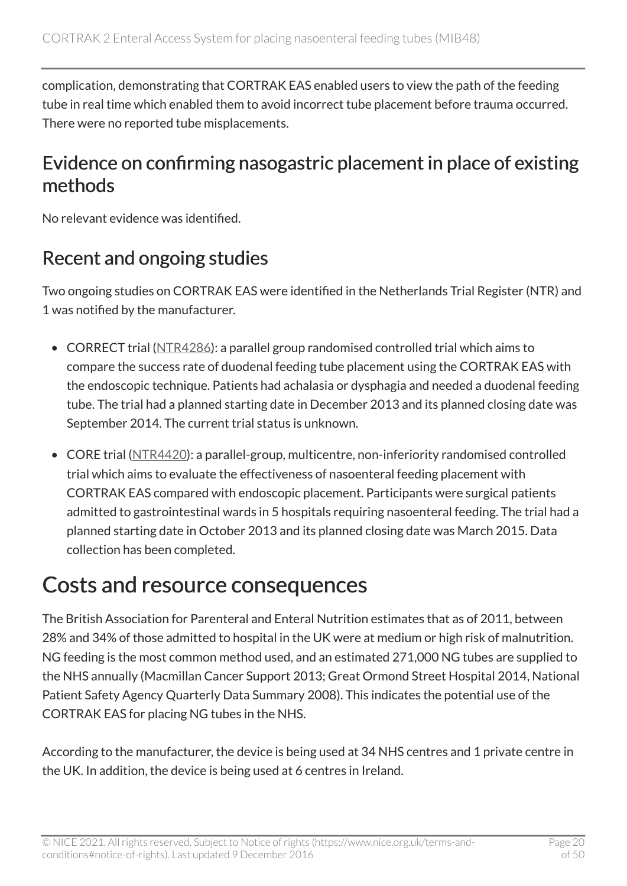complication, demonstrating that CORTRAK EAS enabled users to view the path of the feeding tube in real time which enabled them to avoid incorrect tube placement before trauma occurred. There were no reported tube misplacements.

#### Evidence on confirming nasogastric placement in place of existing methods

No relevant evidence was identified.

#### Recent and ongoing studies

Two ongoing studies on CORTRAK EAS were identified in the Netherlands Trial Register (NTR) and 1 was notified by the manufacturer.

- CORRECT trial ([NTR4286](http://www.trialregister.nl/trialreg/admin/rctview.asp?TC=4286)): a parallel group randomised controlled trial which aims to compare the success rate of duodenal feeding tube placement using the CORTRAK EAS with the endoscopic technique. Patients had achalasia or dysphagia and needed a duodenal feeding tube. The trial had a planned starting date in December 2013 and its planned closing date was September 2014. The current trial status is unknown.
- CORE trial ([NTR4420](http://www.trialregister.nl/trialreg/admin/rctview.asp?TC=4420)): a parallel-group, multicentre, non-inferiority randomised controlled trial which aims to evaluate the effectiveness of nasoenteral feeding placement with CORTRAK EAS compared with endoscopic placement. Participants were surgical patients admitted to gastrointestinal wards in 5 hospitals requiring nasoenteral feeding. The trial had a planned starting date in October 2013 and its planned closing date was March 2015. Data collection has been completed.

### Costs and resource consequences

The British Association for Parenteral and Enteral Nutrition estimates that as of 2011, between 28% and 34% of those admitted to hospital in the UK were at medium or high risk of malnutrition. NG feeding is the most common method used, and an estimated 271,000 NG tubes are supplied to the NHS annually (Macmillan Cancer Support 2013; Great Ormond Street Hospital 2014, National Patient Safety Agency Quarterly Data Summary 2008). This indicates the potential use of the CORTRAK EAS for placing NG tubes in the NHS.

According to the manufacturer, the device is being used at 34 NHS centres and 1 private centre in the UK. In addition, the device is being used at 6 centres in Ireland.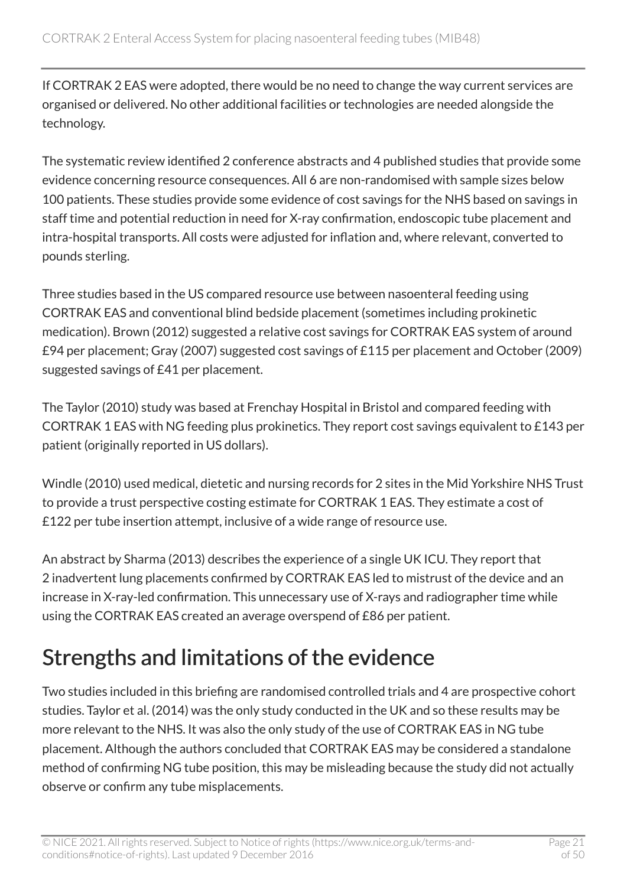If CORTRAK 2 EAS were adopted, there would be no need to change the way current services are organised or delivered. No other additional facilities or technologies are needed alongside the technology.

The systematic review identified 2 conference abstracts and 4 published studies that provide some evidence concerning resource consequences. All 6 are non-randomised with sample sizes below 100 patients. These studies provide some evidence of cost savings for the NHS based on savings in staff time and potential reduction in need for X-ray confirmation, endoscopic tube placement and intra-hospital transports. All costs were adjusted for inflation and, where relevant, converted to pounds sterling.

Three studies based in the US compared resource use between nasoenteral feeding using CORTRAK EAS and conventional blind bedside placement (sometimes including prokinetic medication). Brown (2012) suggested a relative cost savings for CORTRAK EAS system of around £94 per placement; Gray (2007) suggested cost savings of £115 per placement and October (2009) suggested savings of £41 per placement.

The Taylor (2010) study was based at Frenchay Hospital in Bristol and compared feeding with CORTRAK 1 EAS with NG feeding plus prokinetics. They report cost savings equivalent to £143 per patient (originally reported in US dollars).

Windle (2010) used medical, dietetic and nursing records for 2 sites in the Mid Yorkshire NHS Trust to provide a trust perspective costing estimate for CORTRAK 1 EAS. They estimate a cost of £122 per tube insertion attempt, inclusive of a wide range of resource use.

An abstract by Sharma (2013) describes the experience of a single UK ICU. They report that 2 inadvertent lung placements confirmed by CORTRAK EAS led to mistrust of the device and an increase in X-ray-led confirmation. This unnecessary use of X-rays and radiographer time while using the CORTRAK EAS created an average overspend of £86 per patient.

### Strengths and limitations of the evidence

Two studies included in this briefing are randomised controlled trials and 4 are prospective cohort studies. Taylor et al. (2014) was the only study conducted in the UK and so these results may be more relevant to the NHS. It was also the only study of the use of CORTRAK EAS in NG tube placement. Although the authors concluded that CORTRAK EAS may be considered a standalone method of confirming NG tube position, this may be misleading because the study did not actually observe or confirm any tube misplacements.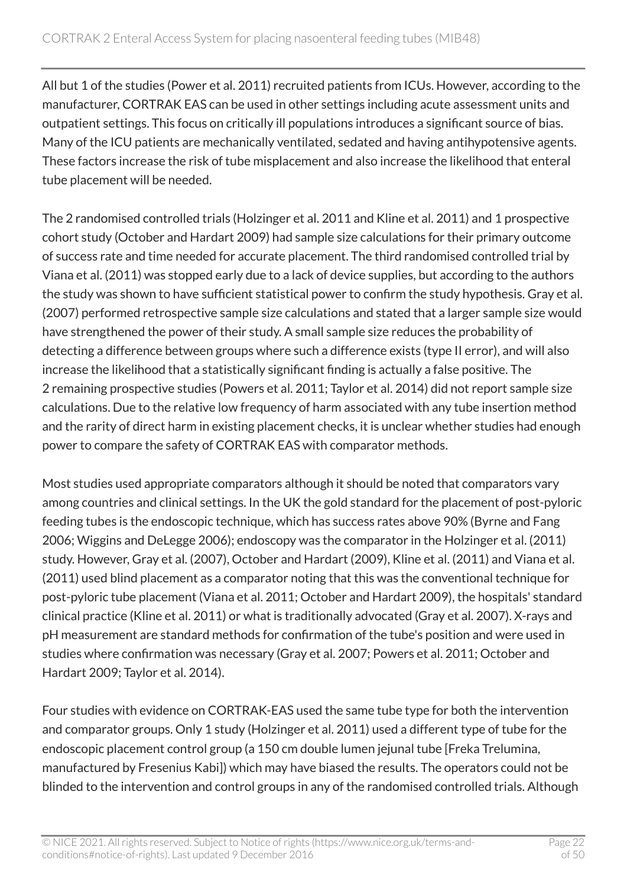All but 1 of the studies (Power et al. 2011) recruited patients from ICUs. However, according to the manufacturer, CORTRAK EAS can be used in other settings including acute assessment units and outpatient settings. This focus on critically ill populations introduces a significant source of bias. Many of the ICU patients are mechanically ventilated, sedated and having antihypotensive agents. These factors increase the risk of tube misplacement and also increase the likelihood that enteral tube placement will be needed.

The 2 randomised controlled trials (Holzinger et al. 2011 and Kline et al. 2011) and 1 prospective cohort study (October and Hardart 2009) had sample size calculations for their primary outcome of success rate and time needed for accurate placement. The third randomised controlled trial by Viana et al. (2011) was stopped early due to a lack of device supplies, but according to the authors the study was shown to have sufficient statistical power to confirm the study hypothesis. Gray et al. (2007) performed retrospective sample size calculations and stated that a larger sample size would have strengthened the power of their study. A small sample size reduces the probability of detecting a difference between groups where such a difference exists (type II error), and will also increase the likelihood that a statistically significant finding is actually a false positive. The 2 remaining prospective studies (Powers et al. 2011; Taylor et al. 2014) did not report sample size calculations. Due to the relative low frequency of harm associated with any tube insertion method and the rarity of direct harm in existing placement checks, it is unclear whether studies had enough power to compare the safety of CORTRAK EAS with comparator methods.

Most studies used appropriate comparators although it should be noted that comparators vary among countries and clinical settings. In the UK the gold standard for the placement of post-pyloric feeding tubes is the endoscopic technique, which has success rates above 90% (Byrne and Fang 2006; Wiggins and DeLegge 2006); endoscopy was the comparator in the Holzinger et al. (2011) study. However, Gray et al. (2007), October and Hardart (2009), Kline et al. (2011) and Viana et al. (2011) used blind placement as a comparator noting that this was the conventional technique for post-pyloric tube placement (Viana et al. 2011; October and Hardart 2009), the hospitals' standard clinical practice (Kline et al. 2011) or what is traditionally advocated (Gray et al. 2007). X-rays and pH measurement are standard methods for confirmation of the tube's position and were used in studies where confirmation was necessary (Gray et al. 2007; Powers et al. 2011; October and Hardart 2009; Taylor et al. 2014).

Four studies with evidence on CORTRAK-EAS used the same tube type for both the intervention and comparator groups. Only 1 study (Holzinger et al. 2011) used a different type of tube for the endoscopic placement control group (a 150 cm double lumen jejunal tube [Freka Trelumina, manufactured by Fresenius Kabi]) which may have biased the results. The operators could not be blinded to the intervention and control groups in any of the randomised controlled trials. Although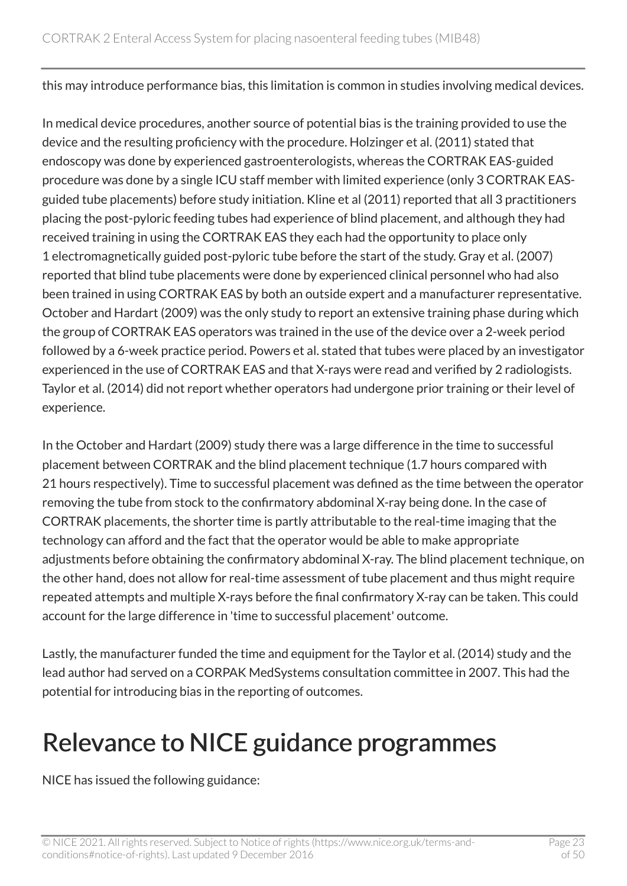this may introduce performance bias, this limitation is common in studies involving medical devices.

In medical device procedures, another source of potential bias is the training provided to use the device and the resulting proficiency with the procedure. Holzinger et al. (2011) stated that endoscopy was done by experienced gastroenterologists, whereas the CORTRAK EAS-guided procedure was done by a single ICU staff member with limited experience (only 3 CORTRAK EASguided tube placements) before study initiation. Kline et al (2011) reported that all 3 practitioners placing the post-pyloric feeding tubes had experience of blind placement, and although they had received training in using the CORTRAK EAS they each had the opportunity to place only 1 electromagnetically guided post-pyloric tube before the start of the study. Gray et al. (2007) reported that blind tube placements were done by experienced clinical personnel who had also been trained in using CORTRAK EAS by both an outside expert and a manufacturer representative. October and Hardart (2009) was the only study to report an extensive training phase during which the group of CORTRAK EAS operators was trained in the use of the device over a 2-week period followed by a 6-week practice period. Powers et al. stated that tubes were placed by an investigator experienced in the use of CORTRAK EAS and that X-rays were read and verified by 2 radiologists. Taylor et al. (2014) did not report whether operators had undergone prior training or their level of experience.

In the October and Hardart (2009) study there was a large difference in the time to successful placement between CORTRAK and the blind placement technique (1.7 hours compared with 21 hours respectively). Time to successful placement was defined as the time between the operator removing the tube from stock to the confirmatory abdominal X-ray being done. In the case of CORTRAK placements, the shorter time is partly attributable to the real-time imaging that the technology can afford and the fact that the operator would be able to make appropriate adjustments before obtaining the confirmatory abdominal X-ray. The blind placement technique, on the other hand, does not allow for real-time assessment of tube placement and thus might require repeated attempts and multiple X-rays before the final confirmatory X-ray can be taken. This could account for the large difference in 'time to successful placement' outcome.

Lastly, the manufacturer funded the time and equipment for the Taylor et al. (2014) study and the lead author had served on a CORPAK MedSystems consultation committee in 2007. This had the potential for introducing bias in the reporting of outcomes.

### Relevance to NICE guidance programmes

NICE has issued the following guidance: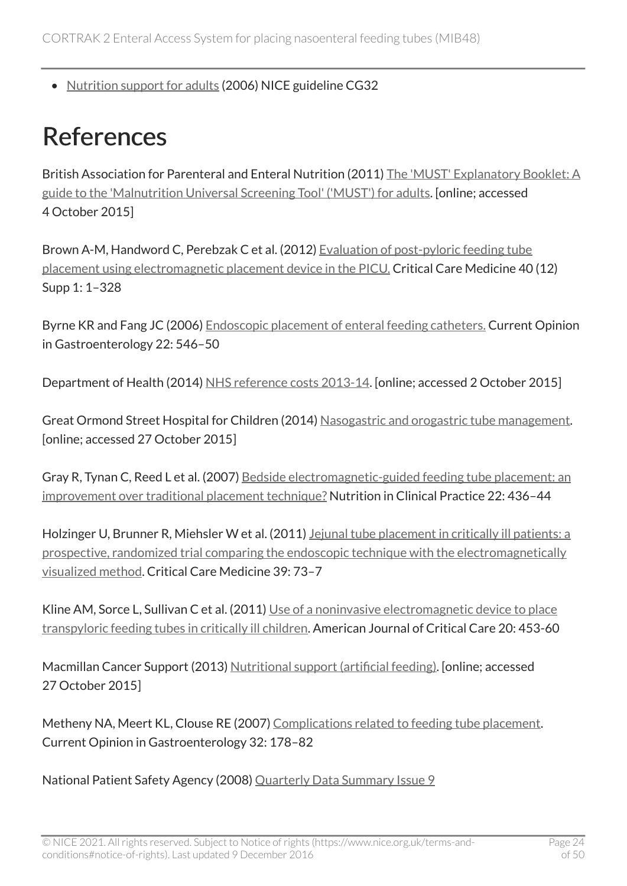• [Nutrition support for adults](http://www.nice.org.uk/guidance/cg32) (2006) NICE guideline CG32

### <span id="page-23-0"></span>References

British Association for Parenteral and Enteral Nutrition (2011) [The 'MUST' Explanatory Booklet: A](http://www.bapen.org.uk/screening-for-malnutrition/must/must-toolkit/the-must-explanatory-booklet) [guide to the 'Malnutrition Universal Screening Tool' \('MUST'\) for adults.](http://www.bapen.org.uk/screening-for-malnutrition/must/must-toolkit/the-must-explanatory-booklet) [online; accessed 4 October 2015]

Brown A-M, Handword C, Perebzak C et al. (2012) [Evaluation of post-pyloric feeding tube](http://journals.lww.com/ccmjournal/toc/2012/12001) [placement using electromagnetic placement device in the PICU.](http://journals.lww.com/ccmjournal/toc/2012/12001) Critical Care Medicine 40 (12) Supp 1: 1–328

Byrne KR and Fang JC (2006) [Endoscopic placement of enteral feeding catheters.](http://mobile.journals.lww.com/co-gastroenterology/_layouts/oaks.journals.mobile/articleviewer.aspx?year=2006&issue=09000&article=00012) Current Opinion in Gastroenterology 22: 546–50

Department of Health (2014) [NHS reference costs 2013-14](https://www.gov.uk/government/publications/nhs-reference-costs-2013-to-2014). [online; accessed 2 October 2015]

Great Ormond Street Hospital for Children (2014) [Nasogastric and orogastric tube management](http://www.gosh.nhs.uk/health-professionals/clinical-guidelines/nasogastric-and-orogastric-tube-management). [online; accessed 27 October 2015]

Gray R, Tynan C, Reed L et al. (2007) [Bedside electromagnetic-guided feeding tube placement: an](http://ncp.sagepub.com/content/22/4/436.long) [improvement over traditional placement technique?](http://ncp.sagepub.com/content/22/4/436.long) Nutrition in Clinical Practice 22: 436–44

Holzinger U, Brunner R, Miehsler W et al. (2011) Jejunal tube placement in critically ill patients: a [prospective, randomized trial comparing the endoscopic technique with the electromagnetically](http://journals.lww.com/ccmjournal/pages/articleviewer.aspx?year=2011&issue=01000&article=00012&type=abstract) [visualized method.](http://journals.lww.com/ccmjournal/pages/articleviewer.aspx?year=2011&issue=01000&article=00012&type=abstract) Critical Care Medicine 39: 73–7

Kline AM, Sorce L, Sullivan C et al. (2011) [Use of a noninvasive electromagnetic device to place](http://www.ncbi.nlm.nih.gov/pubmed/22045142) [transpyloric feeding tubes in critically ill children](http://www.ncbi.nlm.nih.gov/pubmed/22045142). American Journal of Critical Care 20: 453-60

Macmillan Cancer Support (2013) [Nutritional support \(artificial feeding\).](http://www.nhs.uk/ipgmedia/National/Macmillan%20Cancer%20Support/assets/Nutritionalsupport(artificialfeeding)(CB7pages).pdf) [online; accessed 27 October 2015]

Metheny NA, Meert KL, Clouse RE (2007) [Complications related to feeding tube placement](http://www.ncbi.nlm.nih.gov/pubmed/17268247). Current Opinion in Gastroenterology 32: 178–82

National Patient Safety Agency (2008) [Quarterly Data Summary Issue 9](http://www.nrls.npsa.nhs.uk/resources/?EntryId45=59849)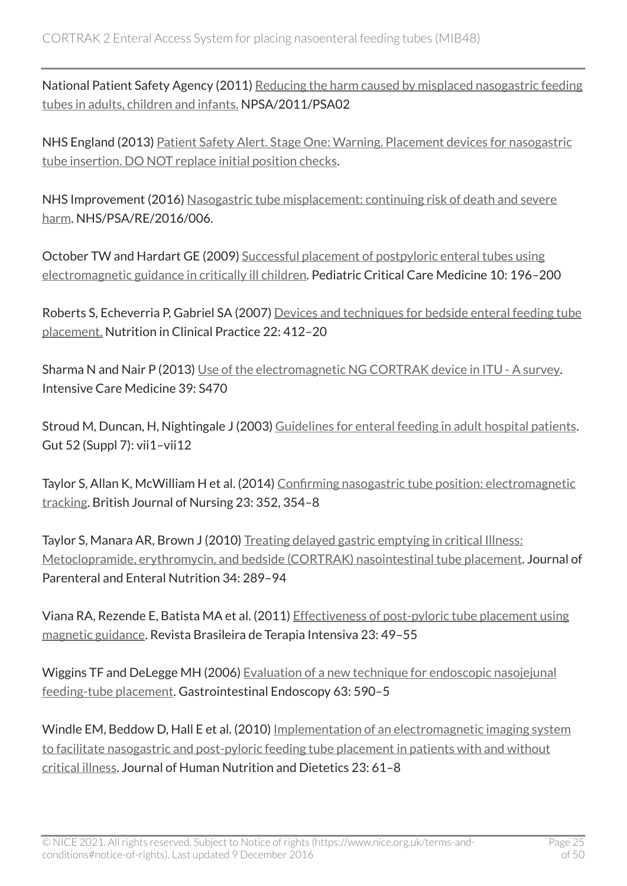National Patient Safety Agency (2011) [Reducing the harm caused by misplaced nasogastric feeding](http://www.nrls.npsa.nhs.uk/alerts/?entryid45=129640) [tubes in adults, children and infants.](http://www.nrls.npsa.nhs.uk/alerts/?entryid45=129640) NPSA/2011/PSA02

NHS England (2013) [Patient Safety Alert. Stage One: Warning. Placement devices for nasogastric](https://www.england.nhs.uk/wp-content/uploads/2013/12/psa-ng-tube.pdf)  [tube insertion. DO NOT replace initial position checks](https://www.england.nhs.uk/wp-content/uploads/2013/12/psa-ng-tube.pdf).

NHS Improvement (2016) [Nasogastric tube misplacement: continuing risk of death and severe](https://improvement.nhs.uk/news-alerts/nasogastric-tube-misplacement-continuing-risk-of-death-severe-harm/) [harm](https://improvement.nhs.uk/news-alerts/nasogastric-tube-misplacement-continuing-risk-of-death-severe-harm/). NHS/PSA/RE/2016/006.

October TW and Hardart GE (2009) [Successful placement of postpyloric enteral tubes using](http://www.ncbi.nlm.nih.gov/pubmed/19188874) [electromagnetic guidance in critically ill children](http://www.ncbi.nlm.nih.gov/pubmed/19188874). Pediatric Critical Care Medicine 10: 196–200

Roberts S, Echeverria P, Gabriel SA (2007) [Devices and techniques for bedside enteral feeding tube](http://ncp.sagepub.com/content/22/4/412.long)  [placement.](http://ncp.sagepub.com/content/22/4/412.long) Nutrition in Clinical Practice 22: 412–20

Sharma N and Nair P (2013) [Use of the electromagnetic NG CORTRAK device in ITU - A survey.](http://poster-consultation.esicm.org/ModuleConsultationPoster/posterDetail.aspx?intIdPoster=4764) Intensive Care Medicine 39: S470

Stroud M, Duncan, H, Nightingale J (2003) [Guidelines for enteral feeding in adult hospital patients](http://www.ncbi.nlm.nih.gov/pubmed/14612488). Gut 52 (Suppl 7): vii1–vii12

Taylor S, Allan K, McWilliam H et al. (2014) [Confirming nasogastric tube position: electromagnetic](http://www.magonlinelibrary.com/doi/abs/10.12968/bjon.2014.23.7.352)  [tracking.](http://www.magonlinelibrary.com/doi/abs/10.12968/bjon.2014.23.7.352) British Journal of Nursing 23: 352, 354–8

Taylor S, Manara AR, Brown J (2010) [Treating delayed gastric emptying in critical Illness:](http://pen.sagepub.com/content/34/3/289.long)  [Metoclopramide, erythromycin, and bedside \(CORTRAK\) nasointestinal tube placement.](http://pen.sagepub.com/content/34/3/289.long) Journal of Parenteral and Enteral Nutrition 34: 289–94

Viana RA, Rezende E, Batista MA et al. (2011) [Effectiveness of post-pyloric tube placement using](http://www.rbti.org.br/artigo/detalhes/0103507X-23-1-9)  [magnetic guidance.](http://www.rbti.org.br/artigo/detalhes/0103507X-23-1-9) Revista Brasileira de Terapia Intensiva 23: 49–55

Wiggins TF and DeLegge MH (2006) [Evaluation of a new technique for endoscopic nasojejunal](http://www.sciencedirect.com/science/article/pii/S0016510705031664)  [feeding-tube placement.](http://www.sciencedirect.com/science/article/pii/S0016510705031664) Gastrointestinal Endoscopy 63: 590–5

Windle EM, Beddow D, Hall E et al. (2010) [Implementation of an electromagnetic imaging system](http://onlinelibrary.wiley.com/doi/10.1111/j.1365-277X.2009.01010.x/abstract;jsessionid=FC6E604D21C171BAF1E900CDCE0A3FA4.f02t04) [to facilitate nasogastric and post-pyloric feeding tube placement in patients with and without](http://onlinelibrary.wiley.com/doi/10.1111/j.1365-277X.2009.01010.x/abstract;jsessionid=FC6E604D21C171BAF1E900CDCE0A3FA4.f02t04)  [critical illness.](http://onlinelibrary.wiley.com/doi/10.1111/j.1365-277X.2009.01010.x/abstract;jsessionid=FC6E604D21C171BAF1E900CDCE0A3FA4.f02t04) Journal of Human Nutrition and Dietetics 23: 61–8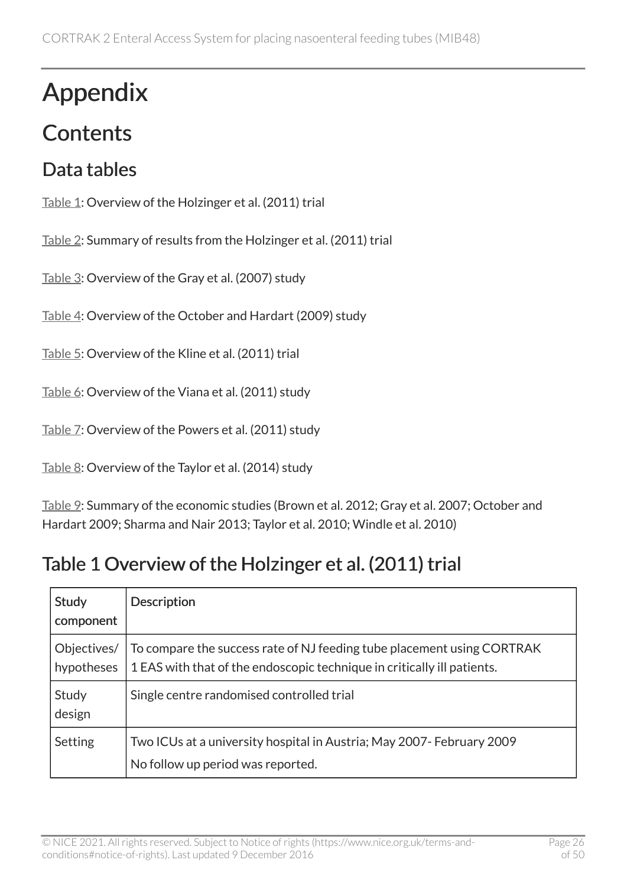# Appendix

### **Contents**

### Data tables

[Table 1](#page-25-0): Overview of the Holzinger et al. (2011) trial

[Table 2](#page-27-0): Summary of results from the Holzinger et al. (2011) trial

[Table 3](#page-28-0): Overview of the Gray et al. (2007) study

[Table 4](#page-31-0): Overview of the October and Hardart (2009) study

[Table 5](#page-34-0): Overview of the Kline et al. (2011) trial

[Table 6](#page-36-0): Overview of the Viana et al. (2011) study

[Table 7](#page-39-0): Overview of the Powers et al. (2011) study

[Table 8](#page-42-0): Overview of the Taylor et al. (2014) study

[Table 9](#page-43-0): Summary of the economic studies (Brown et al. 2012; Gray et al. 2007; October and Hardart 2009; Sharma and Nair 2013; Taylor et al. 2010; Windle et al. 2010)

### <span id="page-25-0"></span>Table 1 Overview of the Holzinger et al. (2011) trial

| <b>Study</b><br>component | <b>Description</b>                                                                                                                                |
|---------------------------|---------------------------------------------------------------------------------------------------------------------------------------------------|
| Objectives/<br>hypotheses | To compare the success rate of NJ feeding tube placement using CORTRAK<br>1 EAS with that of the endoscopic technique in critically ill patients. |
| Study<br>design           | Single centre randomised controlled trial                                                                                                         |
| Setting                   | Two ICUs at a university hospital in Austria; May 2007- February 2009<br>No follow up period was reported.                                        |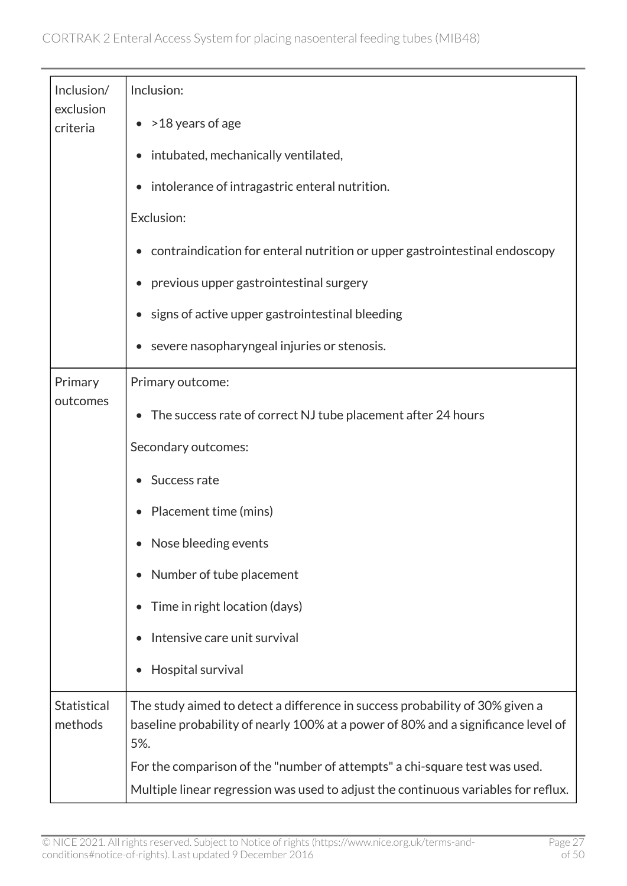| Inclusion/             | Inclusion:                                                                                                                                                               |
|------------------------|--------------------------------------------------------------------------------------------------------------------------------------------------------------------------|
| exclusion<br>criteria  | $\bullet$ > 18 years of age                                                                                                                                              |
|                        | intubated, mechanically ventilated,                                                                                                                                      |
|                        | intolerance of intragastric enteral nutrition.<br>$\bullet$                                                                                                              |
|                        | Exclusion:                                                                                                                                                               |
|                        | contraindication for enteral nutrition or upper gastrointestinal endoscopy                                                                                               |
|                        | previous upper gastrointestinal surgery                                                                                                                                  |
|                        | signs of active upper gastrointestinal bleeding                                                                                                                          |
|                        | severe nasopharyngeal injuries or stenosis.                                                                                                                              |
| Primary                | Primary outcome:                                                                                                                                                         |
| outcomes               | The success rate of correct NJ tube placement after 24 hours                                                                                                             |
|                        | Secondary outcomes:                                                                                                                                                      |
|                        | Success rate                                                                                                                                                             |
|                        | Placement time (mins)                                                                                                                                                    |
|                        | Nose bleeding events                                                                                                                                                     |
|                        | Number of tube placement<br>$\bullet$                                                                                                                                    |
|                        | Time in right location (days)                                                                                                                                            |
|                        | Intensive care unit survival                                                                                                                                             |
|                        | Hospital survival                                                                                                                                                        |
| Statistical<br>methods | The study aimed to detect a difference in success probability of 30% given a<br>baseline probability of nearly 100% at a power of 80% and a significance level of<br>5%. |
|                        | For the comparison of the "number of attempts" a chi-square test was used.                                                                                               |
|                        | Multiple linear regression was used to adjust the continuous variables for reflux.                                                                                       |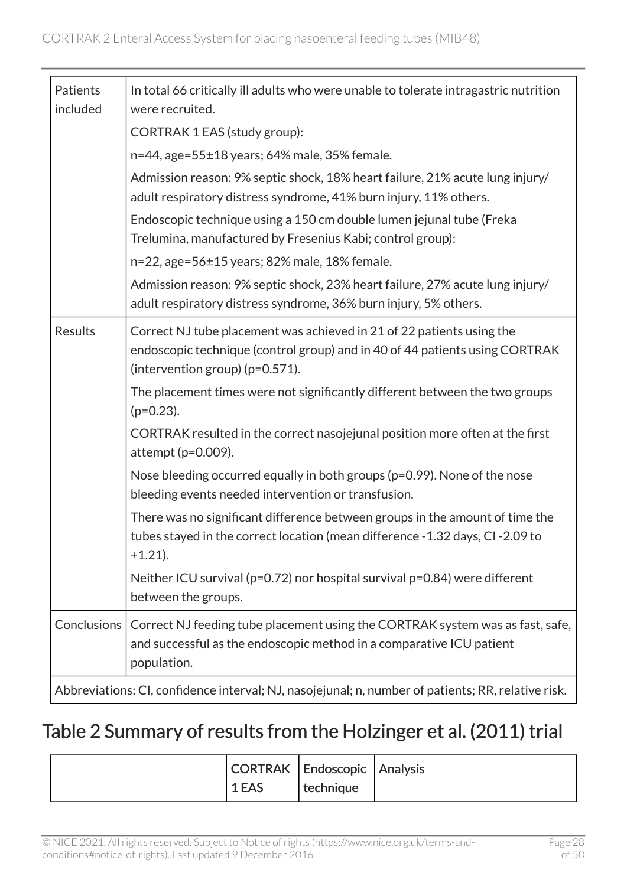| Patients<br>included | In total 66 critically ill adults who were unable to tolerate intragastric nutrition<br>were recruited.                                                                                    |
|----------------------|--------------------------------------------------------------------------------------------------------------------------------------------------------------------------------------------|
|                      | CORTRAK 1 EAS (study group):                                                                                                                                                               |
|                      | n=44, age=55±18 years; 64% male, 35% female.                                                                                                                                               |
|                      | Admission reason: 9% septic shock, 18% heart failure, 21% acute lung injury/<br>adult respiratory distress syndrome, 41% burn injury, 11% others.                                          |
|                      | Endoscopic technique using a 150 cm double lumen jejunal tube (Freka<br>Trelumina, manufactured by Fresenius Kabi; control group):                                                         |
|                      | n=22, age=56±15 years; 82% male, 18% female.                                                                                                                                               |
|                      | Admission reason: 9% septic shock, 23% heart failure, 27% acute lung injury/<br>adult respiratory distress syndrome, 36% burn injury, 5% others.                                           |
| <b>Results</b>       | Correct NJ tube placement was achieved in 21 of 22 patients using the<br>endoscopic technique (control group) and in 40 of 44 patients using CORTRAK<br>(intervention group) $(p=0.571)$ . |
|                      | The placement times were not significantly different between the two groups<br>$(p=0.23)$ .                                                                                                |
|                      | CORTRAK resulted in the correct nasojejunal position more often at the first<br>attempt ( $p=0.009$ ).                                                                                     |
|                      | Nose bleeding occurred equally in both groups (p=0.99). None of the nose<br>bleeding events needed intervention or transfusion.                                                            |
|                      | There was no significant difference between groups in the amount of time the<br>tubes stayed in the correct location (mean difference - 1.32 days, CI-2.09 to<br>$+1.21$ ).                |
|                      | Neither ICU survival (p=0.72) nor hospital survival p=0.84) were different<br>between the groups.                                                                                          |
| <b>Conclusions</b>   | Correct NJ feeding tube placement using the CORTRAK system was as fast, safe,<br>and successful as the endoscopic method in a comparative ICU patient<br>population.                       |
|                      | Abbreviations: CI, confidence interval; NJ, nasojejunal; n, number of patients; RR, relative risk.                                                                                         |

### <span id="page-27-0"></span>Table 2 Summary of results from the Holzinger et al. (2011) trial

|       | CORTRAK   Endoscopic   Analysis |  |
|-------|---------------------------------|--|
| 1 EAS | technique                       |  |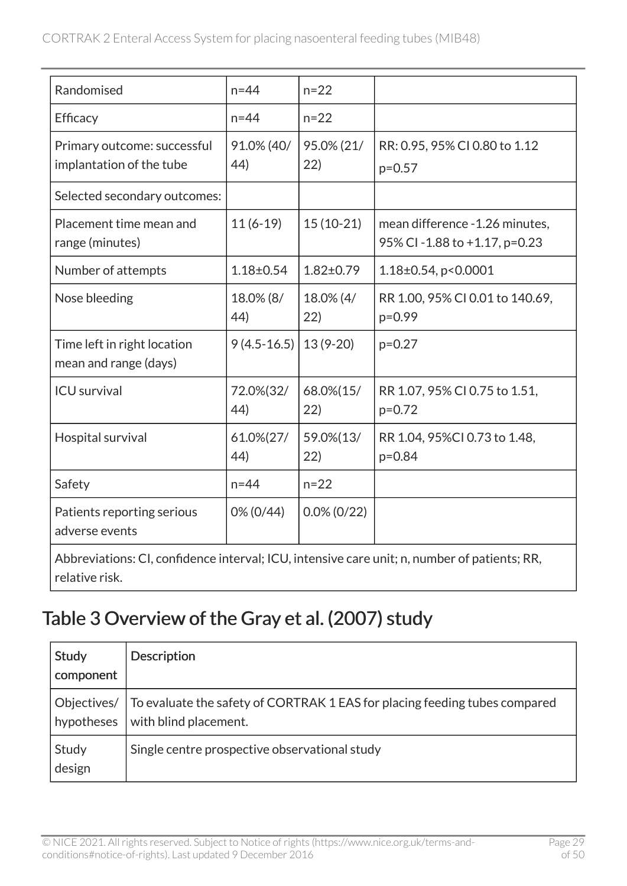| Randomised                                              | $n = 44$          | $n = 22$           |                                                                 |
|---------------------------------------------------------|-------------------|--------------------|-----------------------------------------------------------------|
| <b>Efficacy</b>                                         | $n = 44$          | $n = 22$           |                                                                 |
| Primary outcome: successful<br>implantation of the tube | 91.0% (40/<br>44) | 95.0% (21/<br>(22) | RR: 0.95, 95% CI 0.80 to 1.12<br>$p=0.57$                       |
| Selected secondary outcomes:                            |                   |                    |                                                                 |
| Placement time mean and<br>range (minutes)              | $11(6-19)$        | $15(10-21)$        | mean difference - 1.26 minutes,<br>95% CI-1.88 to +1.17, p=0.23 |
| Number of attempts                                      | $1.18 \pm 0.54$   | $1.82 \pm 0.79$    | $1.18\pm0.54$ , p < 0.0001                                      |
| Nose bleeding                                           | 18.0% (8/<br>44)  | 18.0% (4/<br>(22)  | RR 1.00, 95% CI 0.01 to 140.69,<br>$p=0.99$                     |
| Time left in right location<br>mean and range (days)    | $9(4.5-16.5)$     | $13(9-20)$         | $p=0.27$                                                        |
| <b>ICU</b> survival                                     | 72.0%(32/<br>44)  | 68.0%(15/<br>22)   | RR 1.07, 95% CI 0.75 to 1.51,<br>$p=0.72$                       |
| Hospital survival                                       | 61.0%(27/<br>44)  | 59.0%(13/<br>22)   | RR 1.04, 95%CI 0.73 to 1.48,<br>$p = 0.84$                      |
| Safety                                                  | $n = 44$          | $n = 22$           |                                                                 |
| Patients reporting serious<br>adverse events            | 0% (0/44)         | $0.0\% (0/22)$     |                                                                 |

Abbreviations: CI, confidence interval; ICU, intensive care unit; n, number of patients; RR, relative risk.

### <span id="page-28-0"></span>Table 3 Overview of the Gray et al. (2007) study

| Study<br>component        | <b>Description</b>                                                                                  |
|---------------------------|-----------------------------------------------------------------------------------------------------|
| Objectives/<br>hypotheses | To evaluate the safety of CORTRAK 1 EAS for placing feeding tubes compared<br>with blind placement. |
| Study<br>design           | Single centre prospective observational study                                                       |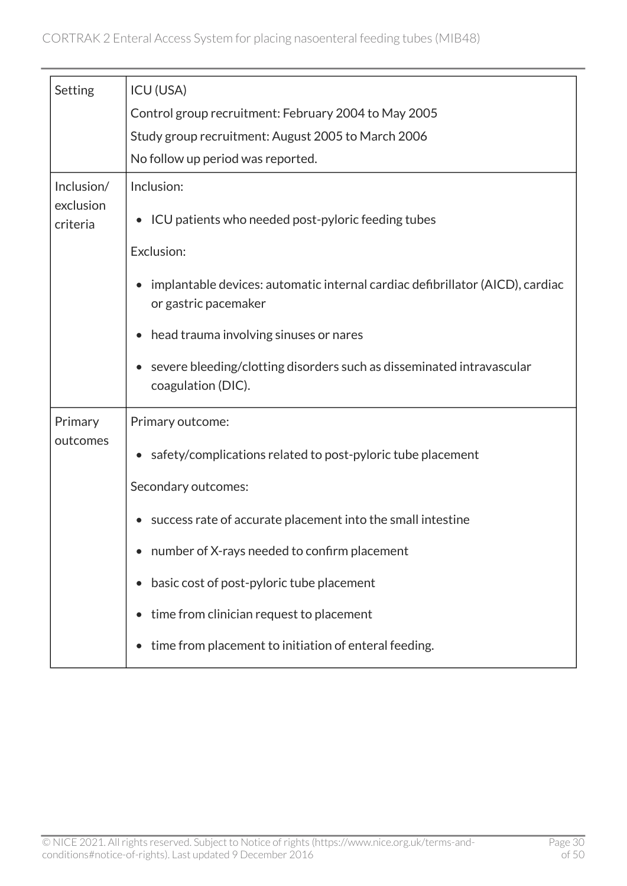| Setting                             | <b>ICU (USA)</b><br>Control group recruitment: February 2004 to May 2005<br>Study group recruitment: August 2005 to March 2006<br>No follow up period was reported.                                                                                                                                                                                                                  |
|-------------------------------------|--------------------------------------------------------------------------------------------------------------------------------------------------------------------------------------------------------------------------------------------------------------------------------------------------------------------------------------------------------------------------------------|
| Inclusion/<br>exclusion<br>criteria | Inclusion:<br>• ICU patients who needed post-pyloric feeding tubes<br>Exclusion:<br>implantable devices: automatic internal cardiac defibrillator (AICD), cardiac<br>or gastric pacemaker<br>head trauma involving sinuses or nares                                                                                                                                                  |
|                                     | severe bleeding/clotting disorders such as disseminated intravascular<br>coagulation (DIC).                                                                                                                                                                                                                                                                                          |
| Primary<br>outcomes                 | Primary outcome:<br>safety/complications related to post-pyloric tube placement<br>$\bullet$<br>Secondary outcomes:<br>success rate of accurate placement into the small intestine<br>number of X-rays needed to confirm placement<br>basic cost of post-pyloric tube placement<br>time from clinician request to placement<br>time from placement to initiation of enteral feeding. |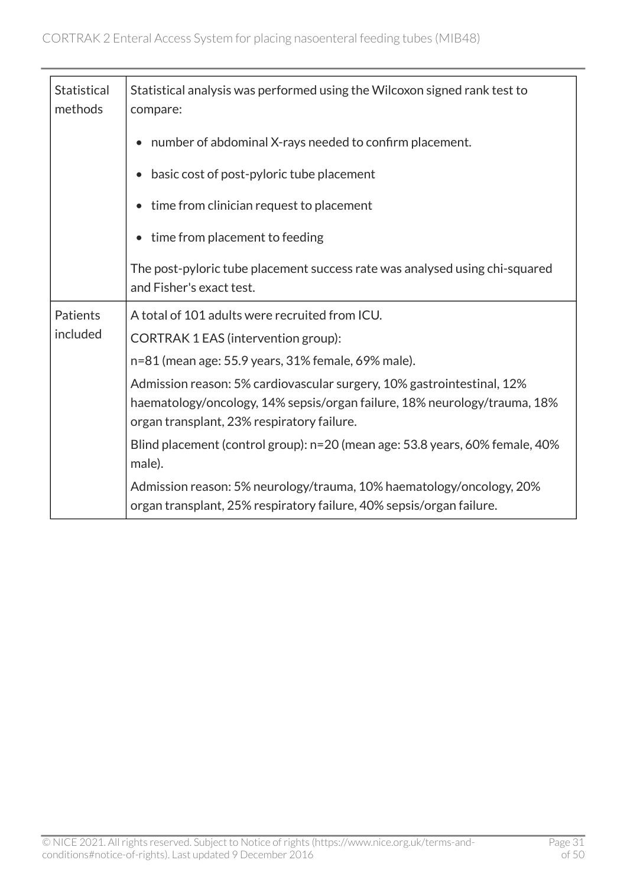| <b>Statistical</b><br>methods | Statistical analysis was performed using the Wilcoxon signed rank test to<br>compare:                                                                                                             |
|-------------------------------|---------------------------------------------------------------------------------------------------------------------------------------------------------------------------------------------------|
|                               | number of abdominal X-rays needed to confirm placement.                                                                                                                                           |
|                               | basic cost of post-pyloric tube placement                                                                                                                                                         |
|                               | time from clinician request to placement                                                                                                                                                          |
|                               | time from placement to feeding                                                                                                                                                                    |
|                               | The post-pyloric tube placement success rate was analysed using chi-squared<br>and Fisher's exact test.                                                                                           |
| Patients                      | A total of 101 adults were recruited from ICU.                                                                                                                                                    |
| included                      | CORTRAK 1 EAS (intervention group):                                                                                                                                                               |
|                               | n=81 (mean age: 55.9 years, 31% female, 69% male).                                                                                                                                                |
|                               | Admission reason: 5% cardiovascular surgery, 10% gastrointestinal, 12%<br>haematology/oncology, 14% sepsis/organ failure, 18% neurology/trauma, 18%<br>organ transplant, 23% respiratory failure. |
|                               | Blind placement (control group): n=20 (mean age: 53.8 years, 60% female, 40%<br>male).                                                                                                            |
|                               | Admission reason: 5% neurology/trauma, 10% haematology/oncology, 20%<br>organ transplant, 25% respiratory failure, 40% sepsis/organ failure.                                                      |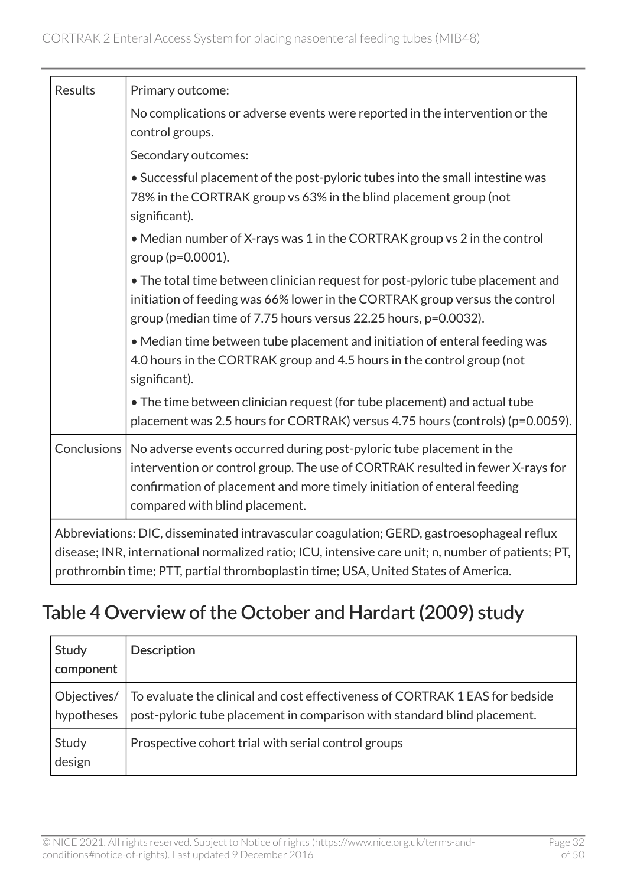| <b>Results</b>     | Primary outcome:                                                                                                                                                                                                                                                                      |
|--------------------|---------------------------------------------------------------------------------------------------------------------------------------------------------------------------------------------------------------------------------------------------------------------------------------|
|                    | No complications or adverse events were reported in the intervention or the<br>control groups.                                                                                                                                                                                        |
|                    | Secondary outcomes:                                                                                                                                                                                                                                                                   |
|                    | • Successful placement of the post-pyloric tubes into the small intestine was<br>78% in the CORTRAK group vs 63% in the blind placement group (not<br>significant).                                                                                                                   |
|                    | • Median number of X-rays was 1 in the CORTRAK group vs 2 in the control<br>group (p=0.0001).                                                                                                                                                                                         |
|                    | • The total time between clinician request for post-pyloric tube placement and<br>initiation of feeding was 66% lower in the CORTRAK group versus the control<br>group (median time of 7.75 hours versus 22.25 hours, p=0.0032).                                                      |
|                    | • Median time between tube placement and initiation of enteral feeding was<br>4.0 hours in the CORTRAK group and 4.5 hours in the control group (not<br>significant).                                                                                                                 |
|                    | • The time between clinician request (for tube placement) and actual tube<br>placement was 2.5 hours for CORTRAK) versus 4.75 hours (controls) (p=0.0059).                                                                                                                            |
| <b>Conclusions</b> | No adverse events occurred during post-pyloric tube placement in the<br>intervention or control group. The use of CORTRAK resulted in fewer X-rays for<br>confirmation of placement and more timely initiation of enteral feeding<br>compared with blind placement.                   |
|                    | Abbreviations: DIC, disseminated intravascular coagulation; GERD, gastroesophageal reflux<br>disease; INR, international normalized ratio; ICU, intensive care unit; n, number of patients; PT,<br>prothrombin time; PTT, partial thromboplastin time; USA, United States of America. |

### <span id="page-31-0"></span>Table 4 Overview of the October and Hardart (2009) study

| Study<br>component | <b>Description</b>                                                                                                                                                     |
|--------------------|------------------------------------------------------------------------------------------------------------------------------------------------------------------------|
| hypotheses         | Objectives/   To evaluate the clinical and cost effectiveness of CORTRAK 1 EAS for bedside<br>post-pyloric tube placement in comparison with standard blind placement. |
| Study<br>design    | Prospective cohort trial with serial control groups                                                                                                                    |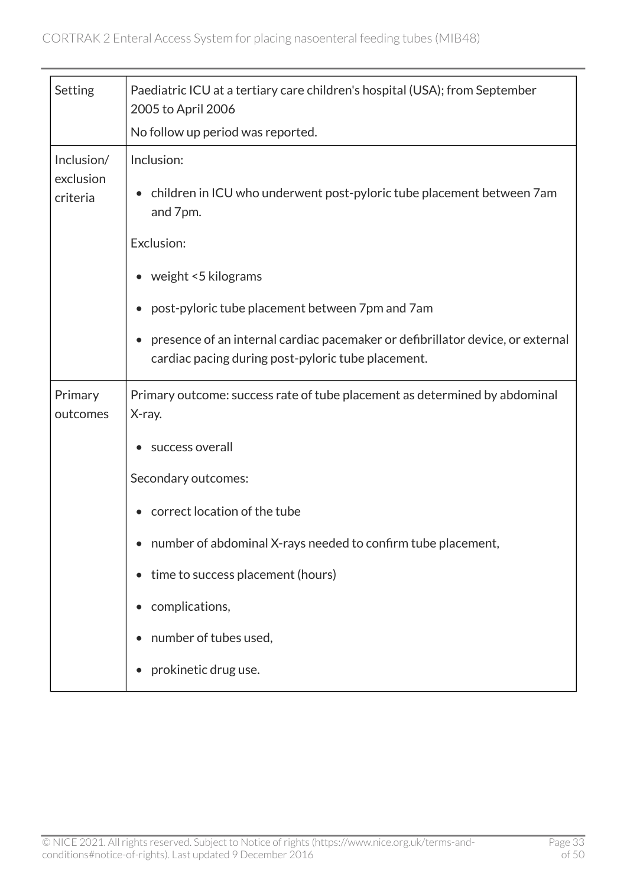| Setting                             | Paediatric ICU at a tertiary care children's hospital (USA); from September<br>2005 to April 2006                                    |
|-------------------------------------|--------------------------------------------------------------------------------------------------------------------------------------|
|                                     | No follow up period was reported.                                                                                                    |
| Inclusion/<br>exclusion<br>criteria | Inclusion:<br>• children in ICU who underwent post-pyloric tube placement between 7am<br>and 7pm.<br>Exclusion:                      |
|                                     | • weight <5 kilograms                                                                                                                |
|                                     | post-pyloric tube placement between 7pm and 7am                                                                                      |
|                                     | presence of an internal cardiac pacemaker or defibrillator device, or external<br>cardiac pacing during post-pyloric tube placement. |
| Primary                             | Primary outcome: success rate of tube placement as determined by abdominal                                                           |
| outcomes                            | X-ray.                                                                                                                               |
|                                     | success overall                                                                                                                      |
|                                     | Secondary outcomes:                                                                                                                  |
|                                     | correct location of the tube                                                                                                         |
|                                     | number of abdominal X-rays needed to confirm tube placement,                                                                         |
|                                     | time to success placement (hours)                                                                                                    |
|                                     | complications,                                                                                                                       |
|                                     | number of tubes used,                                                                                                                |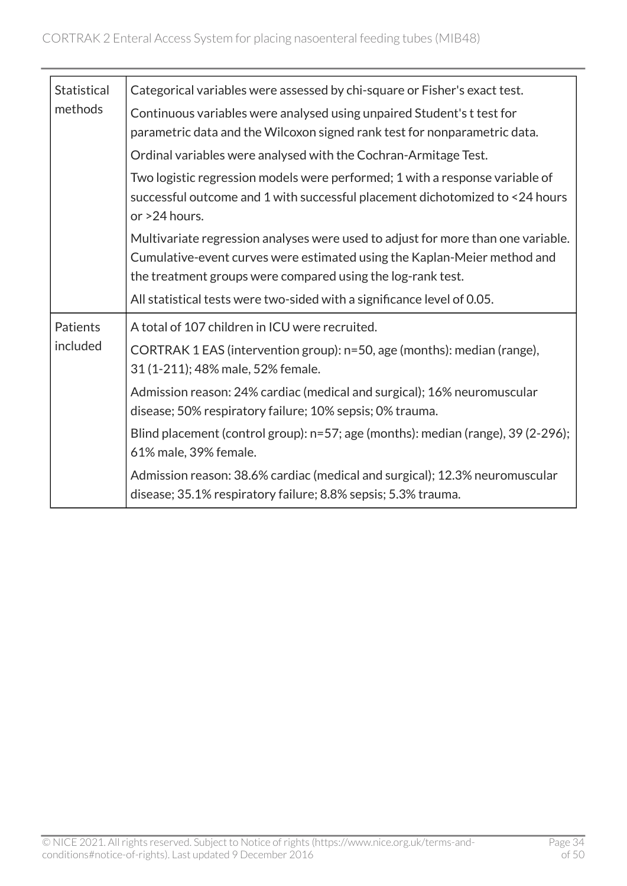| <b>Statistical</b>   | Categorical variables were assessed by chi-square or Fisher's exact test.                                                                                                                                                   |
|----------------------|-----------------------------------------------------------------------------------------------------------------------------------------------------------------------------------------------------------------------------|
| methods              | Continuous variables were analysed using unpaired Student's t test for<br>parametric data and the Wilcoxon signed rank test for nonparametric data.                                                                         |
|                      | Ordinal variables were analysed with the Cochran-Armitage Test.                                                                                                                                                             |
|                      | Two logistic regression models were performed; 1 with a response variable of<br>successful outcome and 1 with successful placement dichotomized to <24 hours<br>or >24 hours.                                               |
|                      | Multivariate regression analyses were used to adjust for more than one variable.<br>Cumulative-event curves were estimated using the Kaplan-Meier method and<br>the treatment groups were compared using the log-rank test. |
|                      | All statistical tests were two-sided with a significance level of 0.05.                                                                                                                                                     |
| Patients<br>included | A total of 107 children in ICU were recruited.<br>CORTRAK 1 EAS (intervention group): n=50, age (months): median (range),<br>31 (1-211); 48% male, 52% female.                                                              |
|                      | Admission reason: 24% cardiac (medical and surgical); 16% neuromuscular<br>disease; 50% respiratory failure; 10% sepsis; 0% trauma.                                                                                         |
|                      | Blind placement (control group): n=57; age (months): median (range), 39 (2-296);<br>61% male, 39% female.                                                                                                                   |
|                      | Admission reason: 38.6% cardiac (medical and surgical); 12.3% neuromuscular<br>disease; 35.1% respiratory failure; 8.8% sepsis; 5.3% trauma.                                                                                |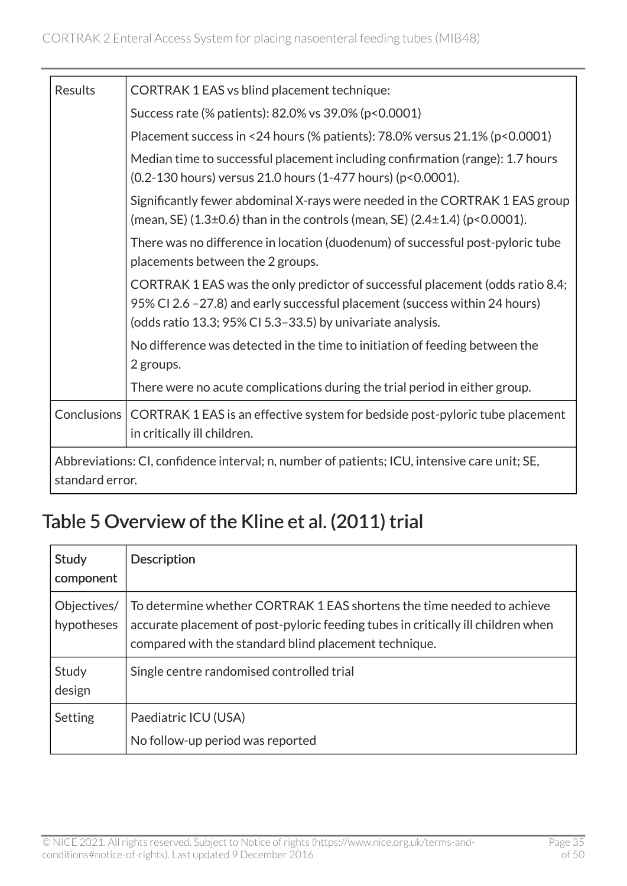| <b>Results</b>                                                                                                  | <b>CORTRAK 1 EAS vs blind placement technique:</b>                                                                                                                                                                        |
|-----------------------------------------------------------------------------------------------------------------|---------------------------------------------------------------------------------------------------------------------------------------------------------------------------------------------------------------------------|
|                                                                                                                 | Success rate (% patients): 82.0% vs 39.0% (p<0.0001)                                                                                                                                                                      |
|                                                                                                                 | Placement success in <24 hours (% patients): $78.0\%$ versus $21.1\%$ (p<0.0001)                                                                                                                                          |
|                                                                                                                 | Median time to successful placement including confirmation (range): 1.7 hours<br>(0.2-130 hours) versus 21.0 hours (1-477 hours) (p<0.0001).                                                                              |
|                                                                                                                 | Significantly fewer abdominal X-rays were needed in the CORTRAK 1 EAS group<br>(mean, SE) $(1.3\pm0.6)$ than in the controls (mean, SE) $(2.4\pm1.4)$ (p<0.0001).                                                         |
|                                                                                                                 | There was no difference in location (duodenum) of successful post-pyloric tube<br>placements between the 2 groups.                                                                                                        |
|                                                                                                                 | CORTRAK 1 EAS was the only predictor of successful placement (odds ratio 8.4;<br>95% CI 2.6 -27.8) and early successful placement (success within 24 hours)<br>(odds ratio 13.3; 95% CI 5.3-33.5) by univariate analysis. |
|                                                                                                                 | No difference was detected in the time to initiation of feeding between the<br>2 groups.                                                                                                                                  |
|                                                                                                                 | There were no acute complications during the trial period in either group.                                                                                                                                                |
| Conclusions                                                                                                     | CORTRAK 1 EAS is an effective system for bedside post-pyloric tube placement<br>in critically ill children.                                                                                                               |
| Abbreviations: CI, confidence interval; n, number of patients; ICU, intensive care unit; SE,<br>standard error. |                                                                                                                                                                                                                           |

### <span id="page-34-0"></span>Table 5 Overview of the Kline et al. (2011) trial

| Study<br>component        | <b>Description</b>                                                                                                                                                                                                  |
|---------------------------|---------------------------------------------------------------------------------------------------------------------------------------------------------------------------------------------------------------------|
| Objectives/<br>hypotheses | To determine whether CORTRAK 1 EAS shortens the time needed to achieve<br>accurate placement of post-pyloric feeding tubes in critically ill children when<br>compared with the standard blind placement technique. |
| Study<br>design           | Single centre randomised controlled trial                                                                                                                                                                           |
| Setting                   | Paediatric ICU (USA)<br>No follow-up period was reported                                                                                                                                                            |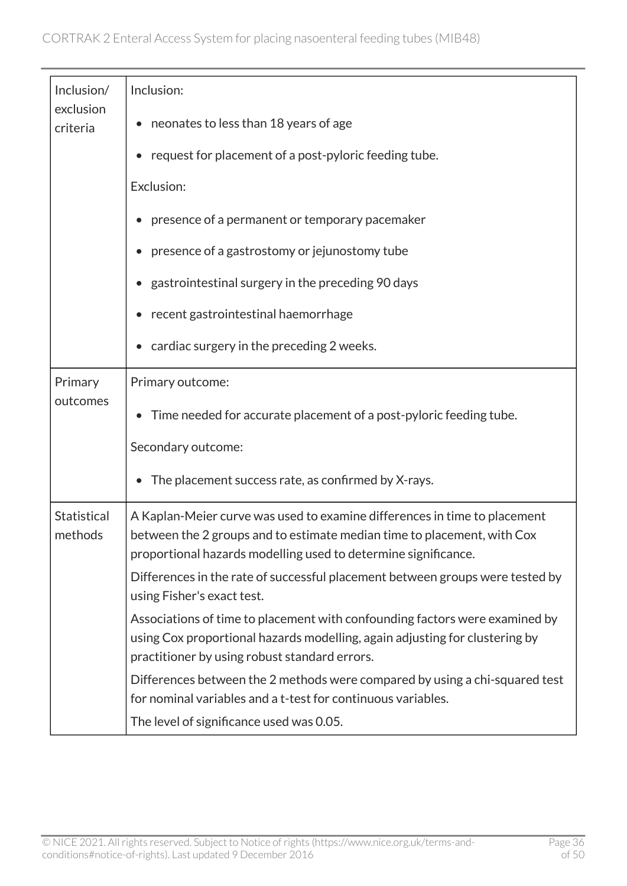| Inclusion/             | Inclusion:                                                                                                                                                                                                             |
|------------------------|------------------------------------------------------------------------------------------------------------------------------------------------------------------------------------------------------------------------|
| exclusion<br>criteria  | neonates to less than 18 years of age                                                                                                                                                                                  |
|                        | request for placement of a post-pyloric feeding tube.                                                                                                                                                                  |
|                        | Exclusion:                                                                                                                                                                                                             |
|                        | presence of a permanent or temporary pacemaker                                                                                                                                                                         |
|                        | presence of a gastrostomy or jejunostomy tube                                                                                                                                                                          |
|                        | gastrointestinal surgery in the preceding 90 days                                                                                                                                                                      |
|                        | recent gastrointestinal haemorrhage                                                                                                                                                                                    |
|                        | cardiac surgery in the preceding 2 weeks.                                                                                                                                                                              |
| Primary                | Primary outcome:                                                                                                                                                                                                       |
| outcomes               | Time needed for accurate placement of a post-pyloric feeding tube.<br>$\bullet$                                                                                                                                        |
|                        | Secondary outcome:                                                                                                                                                                                                     |
|                        | The placement success rate, as confirmed by X-rays.                                                                                                                                                                    |
| Statistical<br>methods | A Kaplan-Meier curve was used to examine differences in time to placement<br>between the 2 groups and to estimate median time to placement, with Cox<br>proportional hazards modelling used to determine significance. |
|                        | Differences in the rate of successful placement between groups were tested by<br>using Fisher's exact test.                                                                                                            |
|                        | Associations of time to placement with confounding factors were examined by<br>using Cox proportional hazards modelling, again adjusting for clustering by<br>practitioner by using robust standard errors.            |
|                        | Differences between the 2 methods were compared by using a chi-squared test<br>for nominal variables and a t-test for continuous variables.                                                                            |
|                        | The level of significance used was 0.05.                                                                                                                                                                               |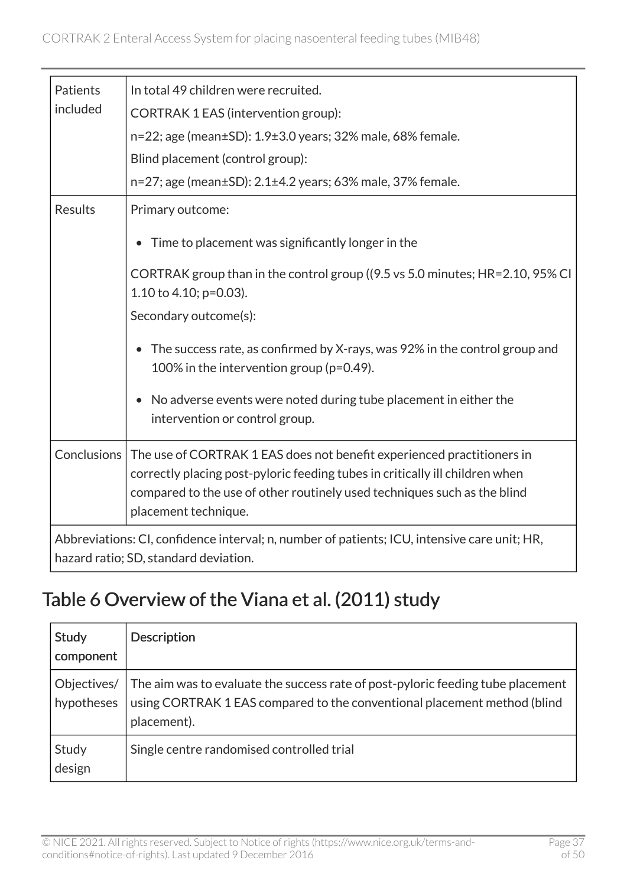| Patients       | In total 49 children were recruited.                                                                                                                                                                                                                                     |  |
|----------------|--------------------------------------------------------------------------------------------------------------------------------------------------------------------------------------------------------------------------------------------------------------------------|--|
| included       | CORTRAK 1 EAS (intervention group):                                                                                                                                                                                                                                      |  |
|                | n=22; age (mean±SD): 1.9±3.0 years; 32% male, 68% female.                                                                                                                                                                                                                |  |
|                | Blind placement (control group):                                                                                                                                                                                                                                         |  |
|                | n=27; age (mean±SD): 2.1±4.2 years; 63% male, 37% female.                                                                                                                                                                                                                |  |
| <b>Results</b> | Primary outcome:                                                                                                                                                                                                                                                         |  |
|                | Time to placement was significantly longer in the                                                                                                                                                                                                                        |  |
|                | CORTRAK group than in the control group ((9.5 vs 5.0 minutes; HR=2.10, 95% CI<br>1.10 to 4.10; $p=0.03$ ).                                                                                                                                                               |  |
|                | Secondary outcome(s):                                                                                                                                                                                                                                                    |  |
|                | The success rate, as confirmed by X-rays, was 92% in the control group and<br>$\bullet$<br>100% in the intervention group ( $p=0.49$ ).                                                                                                                                  |  |
|                | No adverse events were noted during tube placement in either the<br>intervention or control group.                                                                                                                                                                       |  |
|                | Conclusions   The use of CORTRAK 1 EAS does not benefit experienced practitioners in<br>correctly placing post-pyloric feeding tubes in critically ill children when<br>compared to the use of other routinely used techniques such as the blind<br>placement technique. |  |
|                | Abbreviations: CI, confidence interval; n, number of patients; ICU, intensive care unit; HR,<br>hazard ratio; SD, standard deviation.                                                                                                                                    |  |

### <span id="page-36-0"></span>Table 6 Overview of the Viana et al. (2011) study

| Study<br>component        | <b>Description</b>                                                                                                                                                         |
|---------------------------|----------------------------------------------------------------------------------------------------------------------------------------------------------------------------|
| Objectives/<br>hypotheses | The aim was to evaluate the success rate of post-pyloric feeding tube placement<br>using CORTRAK 1 EAS compared to the conventional placement method (blind<br>placement). |
| Study<br>design           | Single centre randomised controlled trial                                                                                                                                  |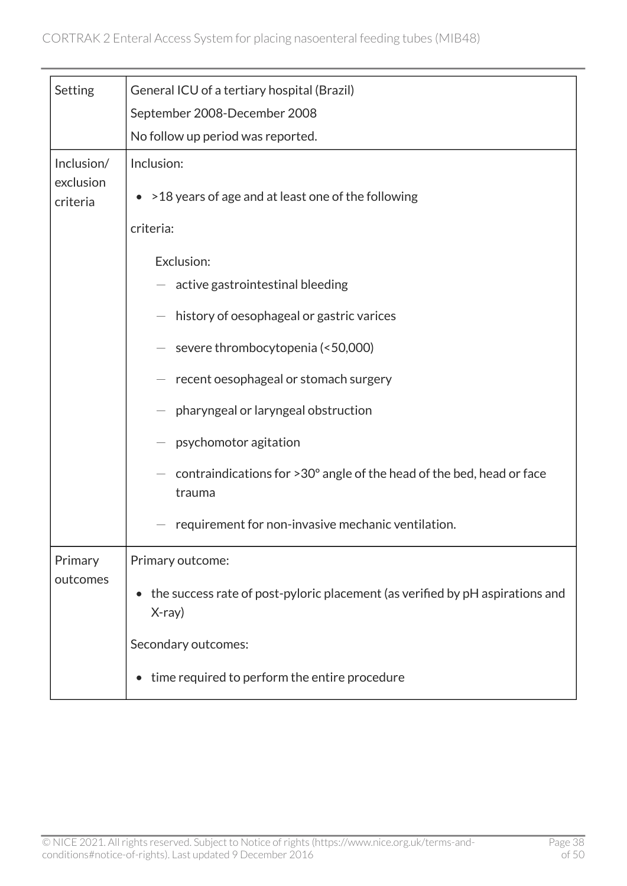| Setting                             | General ICU of a tertiary hospital (Brazil)                                               |
|-------------------------------------|-------------------------------------------------------------------------------------------|
|                                     | September 2008-December 2008                                                              |
|                                     | No follow up period was reported.                                                         |
| Inclusion/<br>exclusion<br>criteria | Inclusion:<br>• > 18 years of age and at least one of the following                       |
|                                     | criteria:                                                                                 |
|                                     | Exclusion:                                                                                |
|                                     | active gastrointestinal bleeding                                                          |
|                                     | history of oesophageal or gastric varices                                                 |
|                                     | severe thrombocytopenia (<50,000)                                                         |
|                                     | recent oesophageal or stomach surgery                                                     |
|                                     | pharyngeal or laryngeal obstruction                                                       |
|                                     | psychomotor agitation                                                                     |
|                                     | contraindications for >30° angle of the head of the bed, head or face<br>trauma           |
|                                     | requirement for non-invasive mechanic ventilation.                                        |
| Primary<br>outcomes                 | Primary outcome:                                                                          |
|                                     | the success rate of post-pyloric placement (as verified by pH aspirations and<br>$X-ray)$ |
|                                     | Secondary outcomes:                                                                       |
|                                     | time required to perform the entire procedure                                             |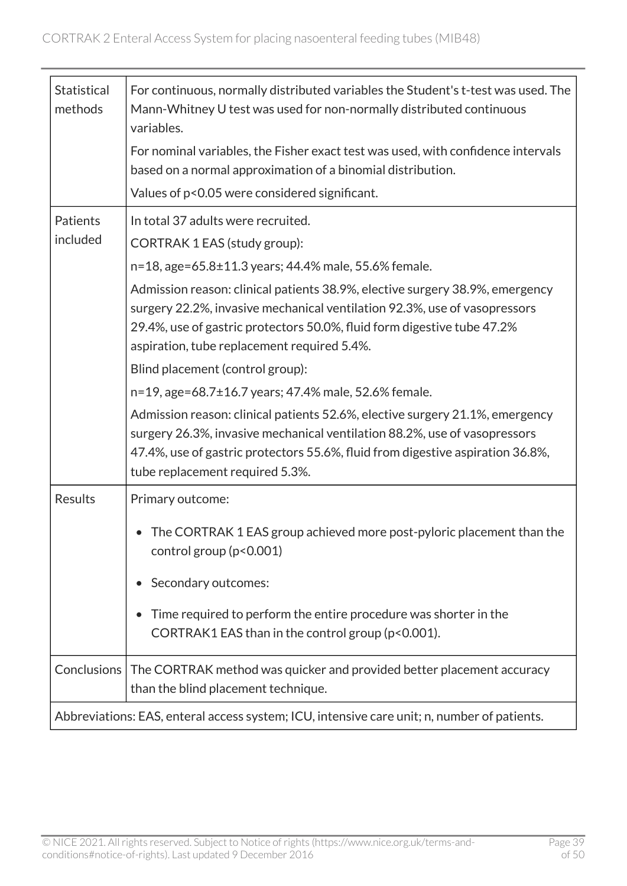| <b>Statistical</b><br>methods | For continuous, normally distributed variables the Student's t-test was used. The<br>Mann-Whitney U test was used for non-normally distributed continuous<br>variables.                                                                                                             |
|-------------------------------|-------------------------------------------------------------------------------------------------------------------------------------------------------------------------------------------------------------------------------------------------------------------------------------|
|                               | For nominal variables, the Fisher exact test was used, with confidence intervals<br>based on a normal approximation of a binomial distribution.                                                                                                                                     |
|                               | Values of p<0.05 were considered significant.                                                                                                                                                                                                                                       |
| Patients                      | In total 37 adults were recruited.                                                                                                                                                                                                                                                  |
| included                      | CORTRAK 1 EAS (study group):                                                                                                                                                                                                                                                        |
|                               | n=18, age=65.8±11.3 years; 44.4% male, 55.6% female.                                                                                                                                                                                                                                |
|                               | Admission reason: clinical patients 38.9%, elective surgery 38.9%, emergency<br>surgery 22.2%, invasive mechanical ventilation 92.3%, use of vasopressors<br>29.4%, use of gastric protectors 50.0%, fluid form digestive tube 47.2%<br>aspiration, tube replacement required 5.4%. |
|                               | Blind placement (control group):                                                                                                                                                                                                                                                    |
|                               | n=19, age=68.7±16.7 years; 47.4% male, 52.6% female.                                                                                                                                                                                                                                |
|                               | Admission reason: clinical patients 52.6%, elective surgery 21.1%, emergency<br>surgery 26.3%, invasive mechanical ventilation 88.2%, use of vasopressors<br>47.4%, use of gastric protectors 55.6%, fluid from digestive aspiration 36.8%,<br>tube replacement required 5.3%.      |
| <b>Results</b>                | Primary outcome:                                                                                                                                                                                                                                                                    |
|                               | The CORTRAK 1 EAS group achieved more post-pyloric placement than the<br>control group (p<0.001)                                                                                                                                                                                    |
|                               | Secondary outcomes:                                                                                                                                                                                                                                                                 |
|                               | Time required to perform the entire procedure was shorter in the<br>$\bullet$<br>CORTRAK1 EAS than in the control group (p<0.001).                                                                                                                                                  |
| Conclusions                   | The CORTRAK method was quicker and provided better placement accuracy<br>than the blind placement technique.                                                                                                                                                                        |
|                               | Abbreviations: EAS, enteral access system; ICU, intensive care unit; n, number of patients.                                                                                                                                                                                         |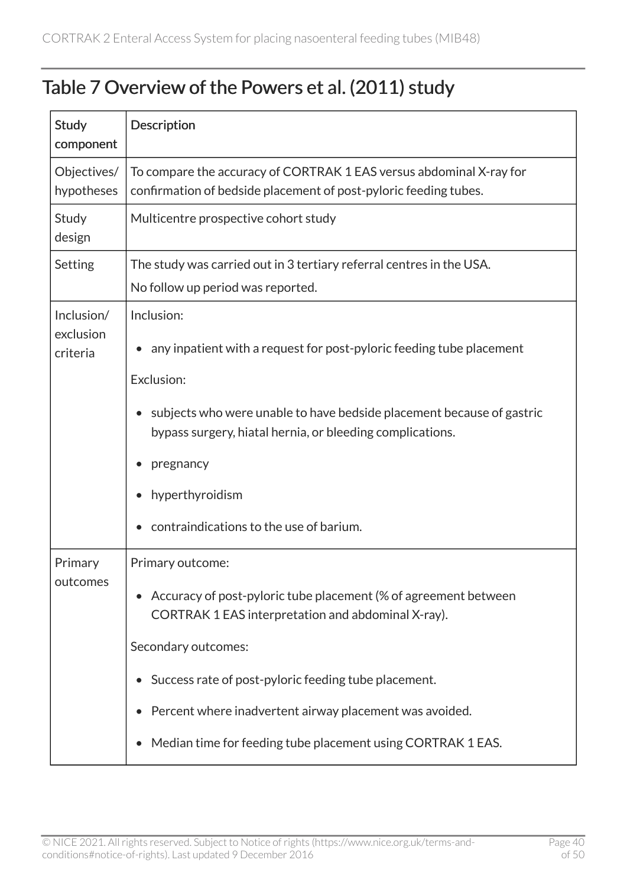#### <span id="page-39-0"></span>Table 7 Overview of the Powers et al. (2011) study

| <b>Study</b><br>component           | Description                                                                                                                                                                                                                                                                                                                                        |
|-------------------------------------|----------------------------------------------------------------------------------------------------------------------------------------------------------------------------------------------------------------------------------------------------------------------------------------------------------------------------------------------------|
| Objectives/<br>hypotheses           | To compare the accuracy of CORTRAK 1 EAS versus abdominal X-ray for<br>confirmation of bedside placement of post-pyloric feeding tubes.                                                                                                                                                                                                            |
| Study<br>design                     | Multicentre prospective cohort study                                                                                                                                                                                                                                                                                                               |
| Setting                             | The study was carried out in 3 tertiary referral centres in the USA.<br>No follow up period was reported.                                                                                                                                                                                                                                          |
| Inclusion/<br>exclusion<br>criteria | Inclusion:<br>any inpatient with a request for post-pyloric feeding tube placement<br>Exclusion:<br>subjects who were unable to have bedside placement because of gastric<br>bypass surgery, hiatal hernia, or bleeding complications.<br>pregnancy<br>hyperthyroidism<br>contraindications to the use of barium.                                  |
| Primary<br>outcomes                 | Primary outcome:<br>Accuracy of post-pyloric tube placement (% of agreement between<br>CORTRAK 1 EAS interpretation and abdominal X-ray).<br>Secondary outcomes:<br>Success rate of post-pyloric feeding tube placement.<br>Percent where inadvertent airway placement was avoided.<br>Median time for feeding tube placement using CORTRAK 1 EAS. |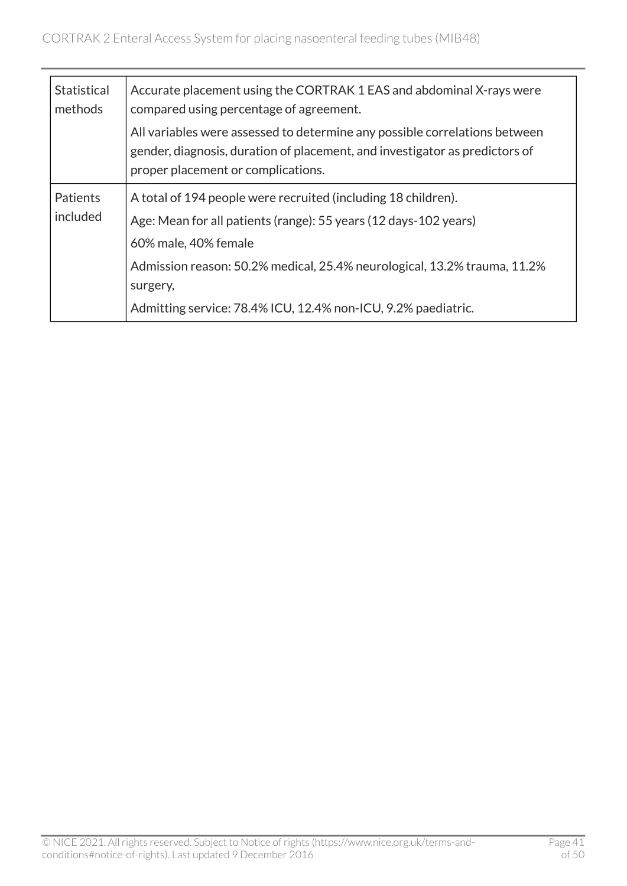| <b>Statistical</b><br>methods | Accurate placement using the CORTRAK 1 EAS and abdominal X-rays were<br>compared using percentage of agreement.                                                                                 |
|-------------------------------|-------------------------------------------------------------------------------------------------------------------------------------------------------------------------------------------------|
|                               | All variables were assessed to determine any possible correlations between<br>gender, diagnosis, duration of placement, and investigator as predictors of<br>proper placement or complications. |
| Patients                      | A total of 194 people were recruited (including 18 children).                                                                                                                                   |
| included                      | Age: Mean for all patients (range): 55 years (12 days-102 years)                                                                                                                                |
|                               | 60% male, 40% female                                                                                                                                                                            |
|                               | Admission reason: 50.2% medical, 25.4% neurological, 13.2% trauma, 11.2%                                                                                                                        |
|                               | surgery,                                                                                                                                                                                        |
|                               | Admitting service: 78.4% ICU, 12.4% non-ICU, 9.2% paediatric.                                                                                                                                   |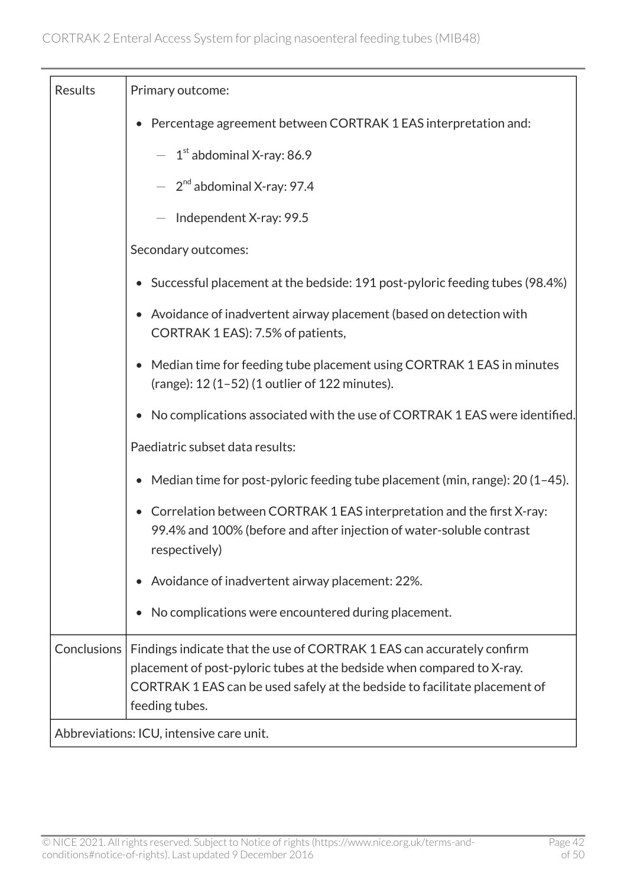| Results            | Primary outcome:                                                                                                                                                                                                                                 |
|--------------------|--------------------------------------------------------------------------------------------------------------------------------------------------------------------------------------------------------------------------------------------------|
|                    | Percentage agreement between CORTRAK 1 EAS interpretation and:<br>$\bullet$                                                                                                                                                                      |
|                    | $-1$ <sup>st</sup> abdominal X-ray: 86.9                                                                                                                                                                                                         |
|                    | $-2^{nd}$ abdominal X-ray: 97.4                                                                                                                                                                                                                  |
|                    | Independent X-ray: 99.5                                                                                                                                                                                                                          |
|                    | Secondary outcomes:                                                                                                                                                                                                                              |
|                    | • Successful placement at the bedside: 191 post-pyloric feeding tubes (98.4%)                                                                                                                                                                    |
|                    | Avoidance of inadvertent airway placement (based on detection with<br>CORTRAK 1 EAS): 7.5% of patients,                                                                                                                                          |
|                    | Median time for feeding tube placement using CORTRAK 1 EAS in minutes<br>$\bullet$<br>(range): $12(1-52)(1$ outlier of $122$ minutes).                                                                                                           |
|                    | No complications associated with the use of CORTRAK 1 EAS were identified.                                                                                                                                                                       |
|                    | Paediatric subset data results:                                                                                                                                                                                                                  |
|                    | Median time for post-pyloric feeding tube placement (min, range): 20 (1-45).                                                                                                                                                                     |
|                    | Correlation between CORTRAK 1 EAS interpretation and the first X-ray:<br>99.4% and 100% (before and after injection of water-soluble contrast<br>respectively)                                                                                   |
|                    | Avoidance of inadvertent airway placement: 22%.                                                                                                                                                                                                  |
|                    | No complications were encountered during placement.                                                                                                                                                                                              |
| <b>Conclusions</b> | Findings indicate that the use of CORTRAK 1 EAS can accurately confirm<br>placement of post-pyloric tubes at the bedside when compared to X-ray.<br>CORTRAK 1 EAS can be used safely at the bedside to facilitate placement of<br>feeding tubes. |
|                    | Abbreviations: ICU, intensive care unit.                                                                                                                                                                                                         |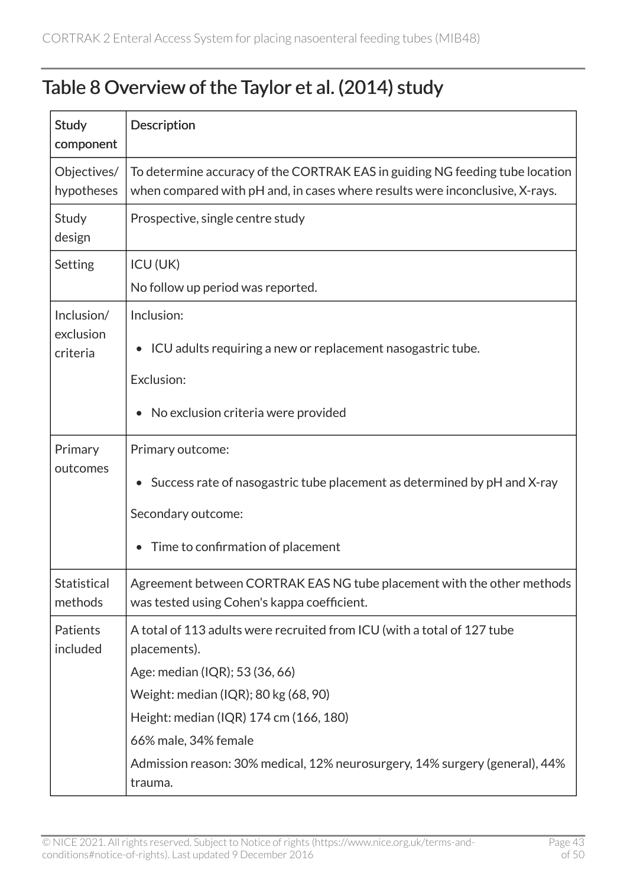#### <span id="page-42-0"></span>Table 8 Overview of the Taylor et al. (2014) study

| <b>Study</b><br>component     | Description                                                                                                                                                  |
|-------------------------------|--------------------------------------------------------------------------------------------------------------------------------------------------------------|
| Objectives/<br>hypotheses     | To determine accuracy of the CORTRAK EAS in guiding NG feeding tube location<br>when compared with pH and, in cases where results were inconclusive, X-rays. |
| Study<br>design               | Prospective, single centre study                                                                                                                             |
| Setting                       | <b>ICU (UK)</b>                                                                                                                                              |
|                               | No follow up period was reported.                                                                                                                            |
| Inclusion/                    | Inclusion:                                                                                                                                                   |
| exclusion<br>criteria         | ICU adults requiring a new or replacement nasogastric tube.<br>$\bullet$                                                                                     |
|                               | Exclusion:                                                                                                                                                   |
|                               | No exclusion criteria were provided                                                                                                                          |
| Primary                       | Primary outcome:                                                                                                                                             |
| outcomes                      | Success rate of nasogastric tube placement as determined by pH and X-ray                                                                                     |
|                               | Secondary outcome:                                                                                                                                           |
|                               | Time to confirmation of placement                                                                                                                            |
| <b>Statistical</b><br>methods | Agreement between CORTRAK EAS NG tube placement with the other methods<br>was tested using Cohen's kappa coefficient.                                        |
| Patients<br>included          | A total of 113 adults were recruited from ICU (with a total of 127 tube<br>placements).                                                                      |
|                               | Age: median (IQR); 53 (36, 66)                                                                                                                               |
|                               | Weight: median (IQR); 80 kg (68, 90)                                                                                                                         |
|                               | Height: median (IQR) 174 cm (166, 180)                                                                                                                       |
|                               | 66% male, 34% female                                                                                                                                         |
|                               | Admission reason: 30% medical, 12% neurosurgery, 14% surgery (general), 44%                                                                                  |
|                               | trauma.                                                                                                                                                      |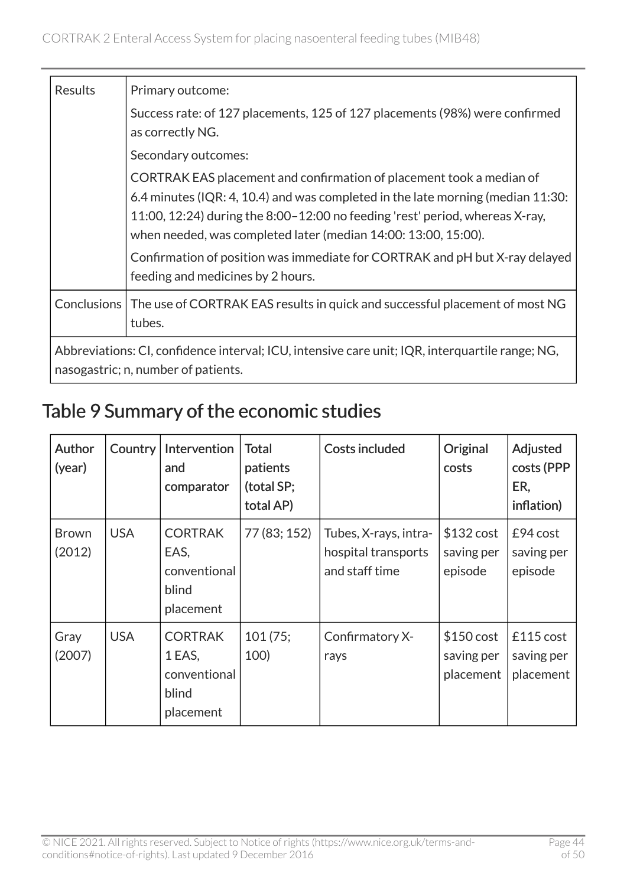| Results                                                                                                                                | Primary outcome:                                                                                                                                                                                                                                                                                                                                                                         |  |  |  |  |
|----------------------------------------------------------------------------------------------------------------------------------------|------------------------------------------------------------------------------------------------------------------------------------------------------------------------------------------------------------------------------------------------------------------------------------------------------------------------------------------------------------------------------------------|--|--|--|--|
|                                                                                                                                        | Success rate: of 127 placements, 125 of 127 placements (98%) were confirmed<br>as correctly NG.                                                                                                                                                                                                                                                                                          |  |  |  |  |
|                                                                                                                                        | Secondary outcomes:                                                                                                                                                                                                                                                                                                                                                                      |  |  |  |  |
|                                                                                                                                        | CORTRAK EAS placement and confirmation of placement took a median of<br>6.4 minutes (IQR: 4, 10.4) and was completed in the late morning (median 11:30:<br>11:00, 12:24) during the 8:00-12:00 no feeding 'rest' period, whereas X-ray,<br>when needed, was completed later (median 14:00: 13:00, 15:00).<br>Confirmation of position was immediate for CORTRAK and pH but X-ray delayed |  |  |  |  |
|                                                                                                                                        | feeding and medicines by 2 hours.                                                                                                                                                                                                                                                                                                                                                        |  |  |  |  |
|                                                                                                                                        | Conclusions   The use of CORTRAK EAS results in quick and successful placement of most NG<br>tubes.                                                                                                                                                                                                                                                                                      |  |  |  |  |
| Abbreviations: CI, confidence interval; ICU, intensive care unit; IQR, interguartile range; NG,<br>nasogastric; n, number of patients. |                                                                                                                                                                                                                                                                                                                                                                                          |  |  |  |  |

### <span id="page-43-0"></span>Table 9 Summary of the economic studies

| Author<br>(year)       | <b>Country</b> | Intervention<br>and<br>comparator                              | <b>Total</b><br>patients<br>(total SP;<br>total AP) | <b>Costs included</b>                                          | Original<br>costs                     | Adjusted<br>costs (PPP<br>ER,<br>inflation) |
|------------------------|----------------|----------------------------------------------------------------|-----------------------------------------------------|----------------------------------------------------------------|---------------------------------------|---------------------------------------------|
| <b>Brown</b><br>(2012) | <b>USA</b>     | <b>CORTRAK</b><br>EAS,<br>conventional<br>blind<br>placement   | 77 (83; 152)                                        | Tubes, X-rays, intra-<br>hospital transports<br>and staff time | \$132 cost<br>saving per<br>episode   | $E94$ cost<br>saving per<br>episode         |
| Gray<br>(2007)         | <b>USA</b>     | <b>CORTRAK</b><br>1 EAS,<br>conventional<br>blind<br>placement | 101(75;<br><b>100)</b>                              | Confirmatory X-<br>rays                                        | \$150 cost<br>saving per<br>placement | £115 cost<br>saving per<br>placement        |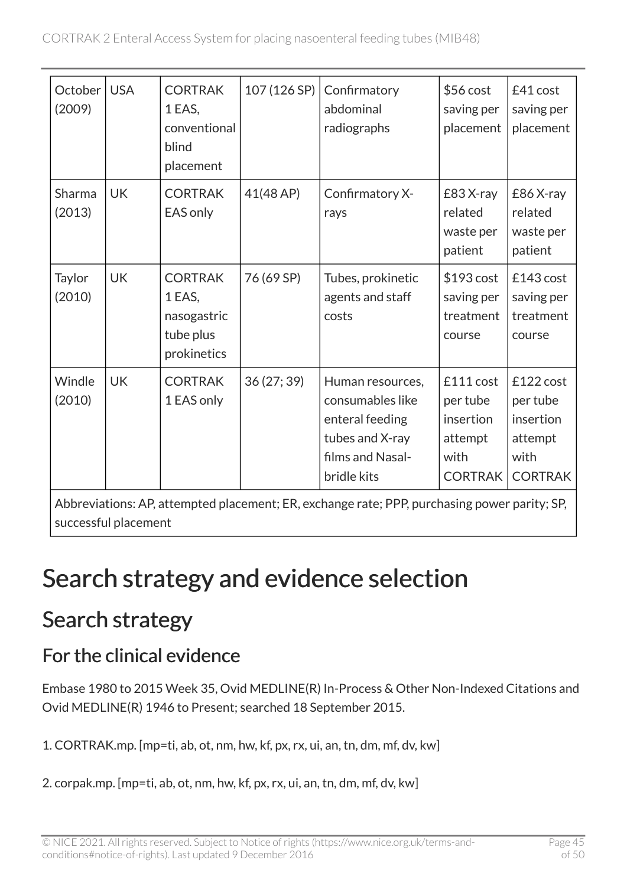| October  <br>(2009) | <b>USA</b> | <b>CORTRAK</b><br>1 EAS,<br>conventional<br>blind<br>placement      | 107 (126 SP) | Confirmatory<br>abdominal<br>radiographs                                                                      | \$56 cost<br>saving per<br>placement                                    | £41 cost<br>saving per<br>placement                                     |
|---------------------|------------|---------------------------------------------------------------------|--------------|---------------------------------------------------------------------------------------------------------------|-------------------------------------------------------------------------|-------------------------------------------------------------------------|
| Sharma<br>(2013)    | <b>UK</b>  | <b>CORTRAK</b><br>EAS only                                          | 41(48 AP)    | Confirmatory X-<br>rays                                                                                       | £83 X-ray<br>related<br>waste per<br>patient                            | £86 X-ray<br>related<br>waste per<br>patient                            |
| Taylor<br>(2010)    | <b>UK</b>  | <b>CORTRAK</b><br>1 EAS,<br>nasogastric<br>tube plus<br>prokinetics | 76 (69 SP)   | Tubes, prokinetic<br>agents and staff<br>costs                                                                | \$193 cost<br>saving per<br>treatment<br>course                         | £143 cost<br>saving per<br>treatment<br>course                          |
| Windle<br>(2010)    | <b>UK</b>  | <b>CORTRAK</b><br>1 EAS only                                        | 36(27; 39)   | Human resources,<br>consumables like<br>enteral feeding<br>tubes and X-ray<br>films and Nasal-<br>bridle kits | £111 cost<br>per tube<br>insertion<br>attempt<br>with<br><b>CORTRAK</b> | £122 cost<br>per tube<br>insertion<br>attempt<br>with<br><b>CORTRAK</b> |

Abbreviations: AP, attempted placement; ER, exchange rate; PPP, purchasing power parity; SP, successful placement

## Search strategy and evidence selection

### Search strategy

### For the clinical evidence

Embase 1980 to 2015 Week 35, Ovid MEDLINE(R) In-Process & Other Non-Indexed Citations and Ovid MEDLINE(R) 1946 to Present; searched 18 September 2015.

1. CORTRAK.mp. [mp=ti, ab, ot, nm, hw, kf, px, rx, ui, an, tn, dm, mf, dv, kw]

2. corpak.mp. [mp=ti, ab, ot, nm, hw, kf, px, rx, ui, an, tn, dm, mf, dv, kw]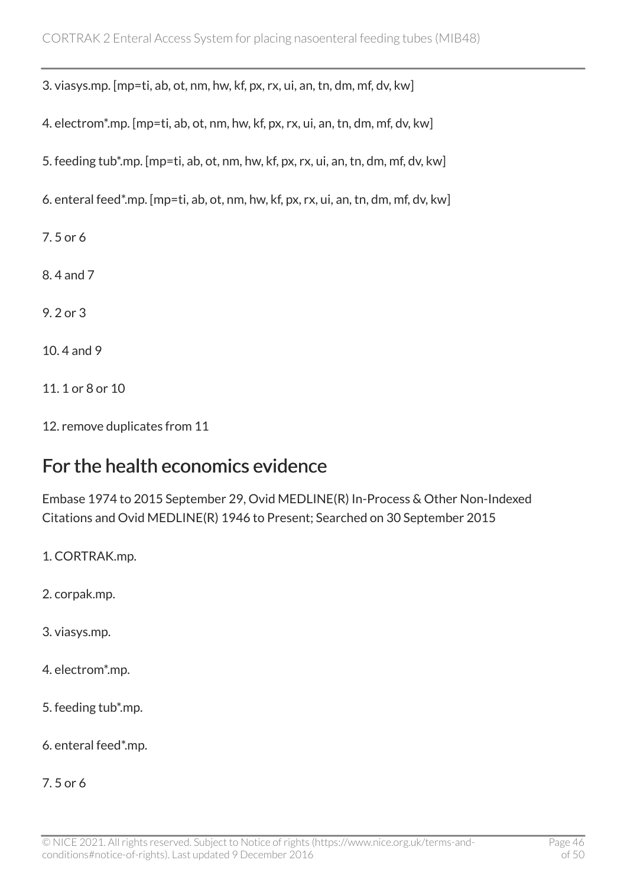3. viasys.mp. [mp=ti, ab, ot, nm, hw, kf, px, rx, ui, an, tn, dm, mf, dv, kw]

4. electrom\*.mp. [mp=ti, ab, ot, nm, hw, kf, px, rx, ui, an, tn, dm, mf, dv, kw]

5. feeding tub\*.mp. [mp=ti, ab, ot, nm, hw, kf, px, rx, ui, an, tn, dm, mf, dv, kw]

6. enteral feed\*.mp. [mp=ti, ab, ot, nm, hw, kf, px, rx, ui, an, tn, dm, mf, dv, kw]

7. 5 or 6

8. 4 and 7

9. 2 or 3

10. 4 and 9

11. 1 or 8 or 10

12. remove duplicates from 11

#### For the health economics evidence

Embase 1974 to 2015 September 29, Ovid MEDLINE(R) In-Process & Other Non-Indexed Citations and Ovid MEDLINE(R) 1946 to Present; Searched on 30 September 2015

1. CORTRAK.mp.

2. corpak.mp.

3. viasys.mp.

4. electrom\*.mp.

5. feeding tub\*.mp.

6. enteral feed\*.mp.

7. 5 or 6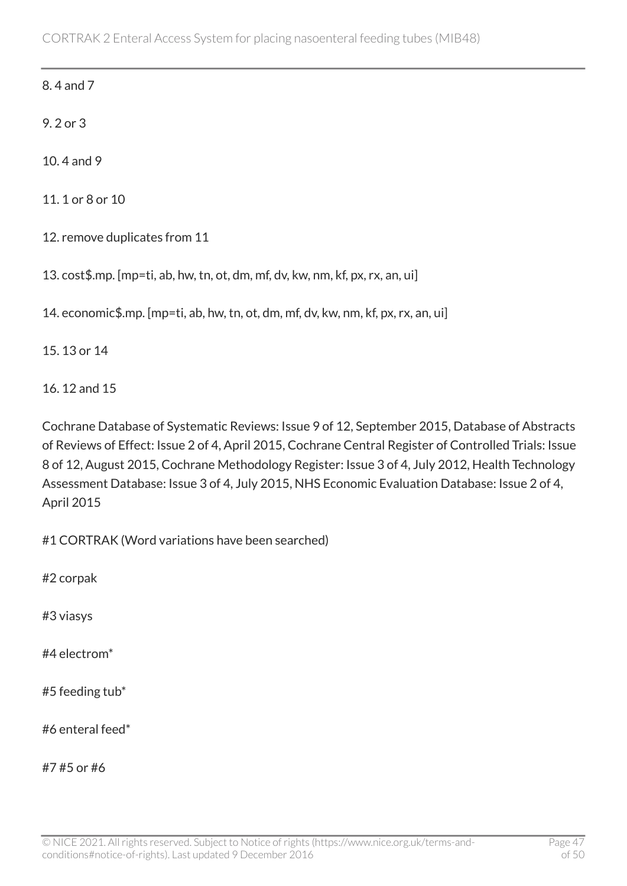8. 4 and 7

9. 2 or 3

10. 4 and 9

11. 1 or 8 or 10

12. remove duplicates from 11

13. cost\$.mp. [mp=ti, ab, hw, tn, ot, dm, mf, dv, kw, nm, kf, px, rx, an, ui]

14. economic\$.mp. [mp=ti, ab, hw, tn, ot, dm, mf, dv, kw, nm, kf, px, rx, an, ui]

15. 13 or 14

16. 12 and 15

Cochrane Database of Systematic Reviews: Issue 9 of 12, September 2015, Database of Abstracts of Reviews of Effect: Issue 2 of 4, April 2015, Cochrane Central Register of Controlled Trials: Issue 8 of 12, August 2015, Cochrane Methodology Register: Issue 3 of 4, July 2012, Health Technology Assessment Database: Issue 3 of 4, July 2015, NHS Economic Evaluation Database: Issue 2 of 4, April 2015

#1 CORTRAK (Word variations have been searched)

#2 corpak

#3 viasys

#4 electrom\*

#5 feeding tub\*

#6 enteral feed\*

#7 #5 or #6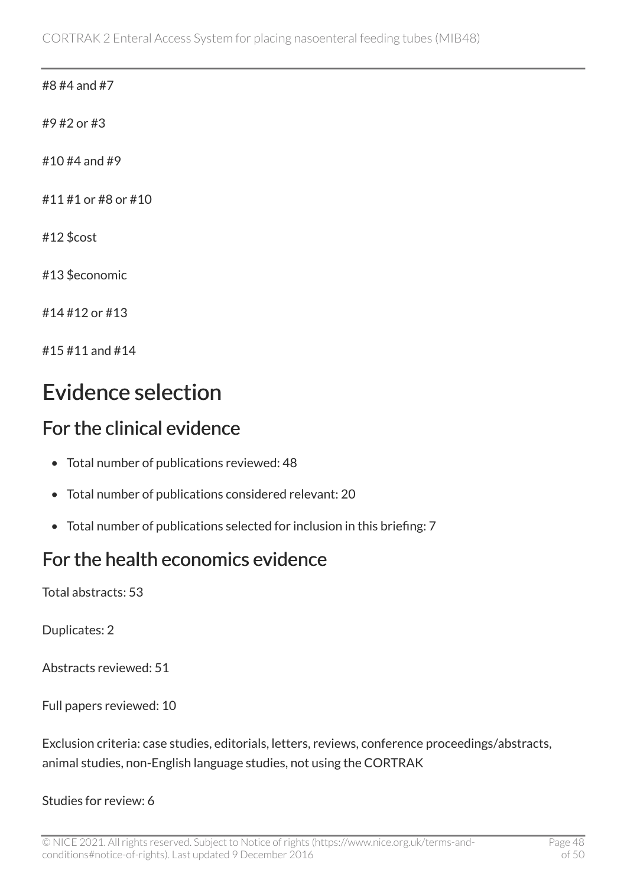#### #8 #4 and #7

#9 #2 or #3

#10 #4 and #9

#11 #1 or #8 or #10

#12 \$cost

#13 \$economic

#14 #12 or #13

#15 #11 and #14

### Evidence selection

#### For the clinical evidence

- Total number of publications reviewed: 48
- Total number of publications considered relevant: 20
- Total number of publications selected for inclusion in this briefing: 7

#### For the health economics evidence

Total abstracts: 53

Duplicates: 2

Abstracts reviewed: 51

Full papers reviewed: 10

Exclusion criteria: case studies, editorials, letters, reviews, conference proceedings/abstracts, animal studies, non-English language studies, not using the CORTRAK

Studies for review: 6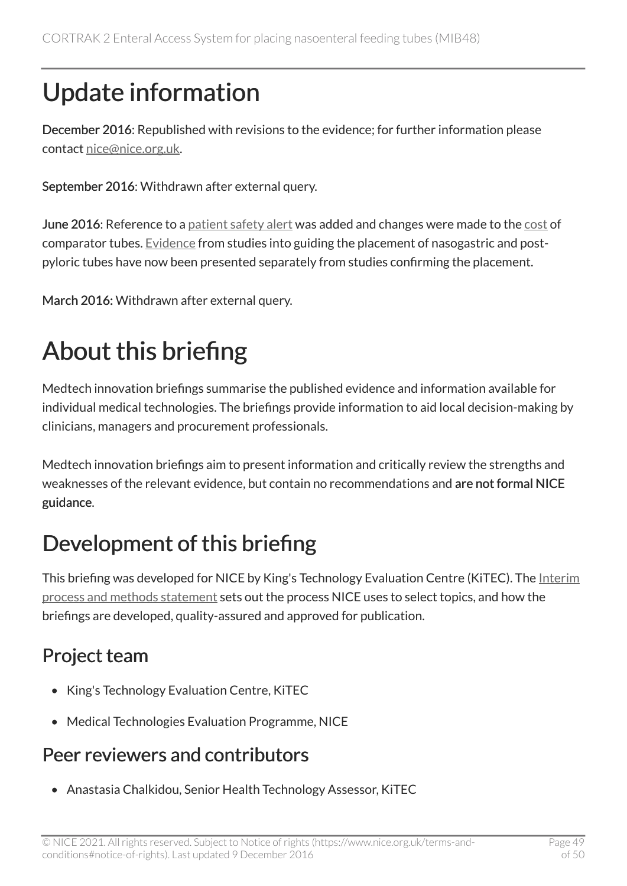# Update information

December 2016: Republished with revisions to the evidence; for further information please contact [nice@nice.org.uk.](mailto:nice@nice.org.uk)

September 2016: Withdrawn after external query.

June 2016: Reference to a [patient safety alert](#page-23-0) was added and changes were made to the [cost](#page-0-0) of comparator tubes. [Evidence](#page-15-0) from studies into guiding the placement of nasogastric and postpyloric tubes have now been presented separately from studies confirming the placement.

March 2016: Withdrawn after external query.

# About this briefing

Medtech innovation briefings summarise the published evidence and information available for individual medical technologies. The briefings provide information to aid local decision-making by clinicians, managers and procurement professionals.

Medtech innovation briefings aim to present information and critically review the strengths and weaknesses of the relevant evidence, but contain no recommendations and are not formal NICE guidance.

### Development of this briefing

This briefing was developed for NICE by King's Technology Evaluation Centre (KITEC). The [Interim](http://www.nice.org.uk/Media/Default/About/what-we-do/NICE-advice/Medtech-innovation-briefings/MIB-interim-process-methods-statement.pdf) [process and methods statement](http://www.nice.org.uk/Media/Default/About/what-we-do/NICE-advice/Medtech-innovation-briefings/MIB-interim-process-methods-statement.pdf) sets out the process NICE uses to select topics, and how the briefings are developed, quality-assured and approved for publication.

### Project team

- King's Technology Evaluation Centre, KiTEC
- Medical Technologies Evaluation Programme, NICE

### Peer reviewers and contributors

• Anastasia Chalkidou, Senior Health Technology Assessor, KiTEC